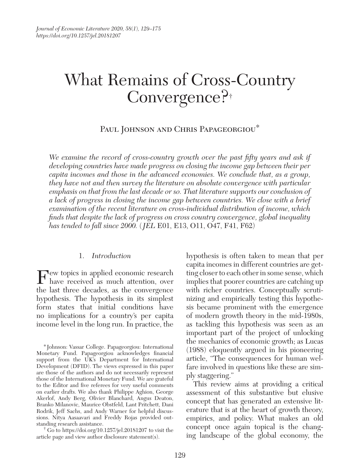# What Remains of Cross-Country Convergence?<sup>+</sup>

Paul Johnson and Chris Papageorgiou<sup>\*</sup>

We examine the record of cross-country growth over the past fifty years and ask if developing countries have made progress on closing the income gap between their per capita incomes and those in the advanced economies. We conclude that, as a group, they have not and then survey the literature on absolute convergence with particular emphasis on that from the last decade or so. That literature supports our conclusion of a lack of progress in closing the income gap between countries. We close with a brief examination of the recent literature on cross-individual distribution of income, which finds that despite the lack of progress on cross country convergence, global inequality has tended to fall since 2000. ( JEL E01, E13, O11, O47, F41, F62)

#### 1. Introduction

F ew topics in applied economic research<br>have received as much attention, over have received as much attention, over the last three decades, as the convergence hypothesis. The hypothesis in its simplest form states that initial conditions have no implications for a country's per capita income level in the long run. In practice, the

† Go to https://doi.org/10.1257/jel.20181207 to visit the article page and view author disclosure statement(s).

 hypothesis is often taken to mean that per capita incomes in different countries are getting closer to each other in some sense, which implies that poorer countries are catching up with richer countries. Conceptually scrutinizing and empirically testing this hypothesis became prominent with the emergence of modern growth theory in the mid-1980s, as tackling this hypothesis was seen as an important part of the project of unlocking the mechanics of economic growth; as Lucas (1988) eloquently argued in his pioneering article, "The consequences for human welfare involved in questions like these are simply staggering."

This review aims at providing a critical assessment of this substantive but elusive concept that has generated an extensive literature that is at the heart of growth theory, empirics, and policy. What makes an old concept once again topical is the changing landscape of the global economy, the

<sup>\*</sup> Johnson: Vassar College. Papageorgiou: International Monetary Fund. Papageorgiou acknowledges financial support from the UK's Department for International Development (DFID). The views expressed in this paper are those of the authors and do not necessarily represent those of the International Monetary Fund. We are grateful to the Editor and five referees for very useful comments on earlier drafts. We also thank Philippe Aghion, George Akerlof, Andy Berg, Olivier Blanchard, Angus Deaton, Branko Milanovic, Maurice Obstfeld, Lant Pritchett, Dani Rodrik, Jeff Sachs, and Andy Warner for helpful discussions. Nitya Aasaavari and Freddy Rojas provided outstanding research assistance.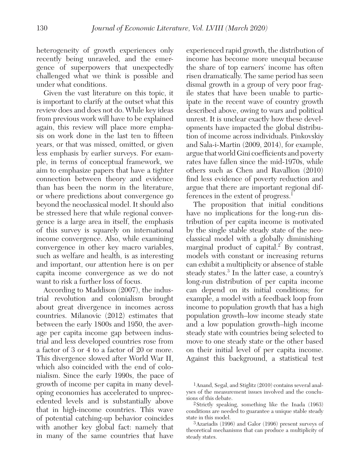heterogeneity of growth experiences only recently being unraveled, and the emergence of superpowers that unexpectedly challenged what we think is possible and under what conditions.

Given the vast literature on this topic, it is important to clarify at the outset what this review does and does not do. While key ideas from previous work will have to be explained again, this review will place more emphasis on work done in the last ten to fifteen years, or that was missed, omitted, or given less emphasis by earlier surveys. For example, in terms of conceptual framework, we aim to emphasize papers that have a tighter connection between theory and evidence than has been the norm in the literature, or where predictions about convergence go beyond the neoclassical model. It should also be stressed here that while regional convergence is a large area in itself, the emphasis of this survey is squarely on international income convergence. Also, while examining convergence in other key macro variables, such as welfare and health, is as interesting and important, our attention here is on per capita income convergence as we do not want to risk a further loss of focus.

According to Maddison (2007), the industrial revolution and colonialism brought about great divergence in incomes across countries. Milanovic (2012) estimates that between the early 1800s and 1950, the average per capita income gap between industrial and less developed countries rose from a factor of 3 or 4 to a factor of 20 or more. This divergence slowed after World War II, which also coincided with the end of colonialism. Since the early 1990s, the pace of growth of income per capita in many developing economies has accelerated to unprecedented levels and is substantially above that in high-income countries. This wave of potential catching-up behavior coincides with another key global fact: namely that in many of the same countries that have

 experienced rapid growth, the distribution of income has become more unequal because the share of top earners' income has often risen dramatically. The same period has seen dismal growth in a group of very poor fragile states that have been unable to participate in the recent wave of country growth described above, owing to wars and political unrest. It is unclear exactly how these developments have impacted the global distribution of income across individuals. Pinkovskiy and Sala-i-Martin (2009, 2014), for example, argue that world Gini coefficients and poverty rates have fallen since the mid-1970s, while others such as Chen and Ravallion (2010) find less evidence of poverty reduction and argue that there are important regional differences in the extent of progress.<sup>1</sup>

The proposition that initial conditions have no implications for the long-run distribution of per capita income is motivated by the single stable steady state of the neoclassical model with a globally diminishing marginal product of capital.<sup>2</sup> By contrast, models with constant or increasing returns can exhibit a multiplicity or absence of stable steady states.<sup>3</sup> In the latter case, a country's long-run distribution of per capita income can depend on its initial conditions; for example, a model with a feedback loop from income to population growth that has a high population growth–low income steady state and a low population growth–high income steady state with countries being selected to move to one steady state or the other based on their initial level of per capita income. Against this background, a statistical test

<sup>1</sup> Anand, Segal, and Stiglitz (2010) contains several analyses of the measurement issues involved and the conclusions of this debate.

<sup>2</sup> Strictly speaking, something like the Inada (1963) conditions are needed to guarantee a unique stable steady state in this model.

<sup>3</sup> Azariadis (1996) and Galor (1996) present surveys of theoretical mechanisms that can produce a multiplicity of steady states.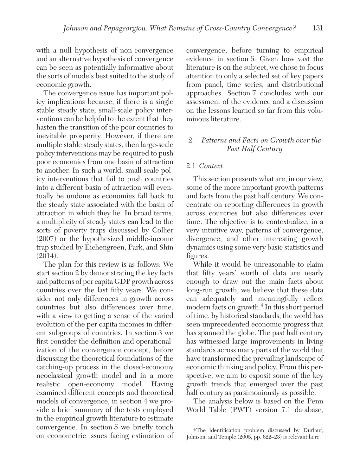with a null hypothesis of non-convergence and an alternative hypothesis of convergence can be seen as potentially informative about the sorts of models best suited to the study of economic growth.

The convergence issue has important policy implications because, if there is a single stable steady state, small-scale policy interventions can be helpful to the extent that they hasten the transition of the poor countries to inevitable prosperity. However, if there are multiple stable steady states, then large-scale policy interventions may be required to push poor economies from one basin of attraction to another. In such a world, small-scale policy interventions that fail to push countries into a different basin of attraction will eventually be undone as economies fall back to the steady state associated with the basin of attraction in which they lie. In broad terms, a multiplicity of steady states can lead to the sorts of poverty traps discussed by Collier (2007) or the hypothesized middle-income trap studied by Eichengreen, Park, and Shin (2014).

The plan for this review is as follows: We start section 2 by demonstrating the key facts and patterns of per capita GDP growth across countries over the last fifty years. We consider not only differences in growth across countries but also differences over time, with a view to getting a sense of the varied evolution of the per capita incomes in different subgroups of countries. In section 3 we first consider the definition and operationalization of the convergence concept, before discussing the theoretical foundations of the catching-up process in the closed-economy neoclassical growth model and in a more realistic open-economy model. Having examined different concepts and theoretical models of convergence, in section 4 we provide a brief summary of the tests employed in the empirical growth literature to estimate convergence. In section 5 we briefly touch on econometric issues facing estimation of convergence, before turning to empirical evidence in section 6. Given how vast the literature is on the subject, we chose to focus attention to only a selected set of key papers from panel, time series, and distributional approaches. Section 7 concludes with our assessment of the evidence and a discussion on the lessons learned so far from this voluminous literature.

# 2. Patterns and Facts on Growth over the Past Half Century

# 2.1 Context

This section presents what are, in our view, some of the more important growth patterns and facts from the past half century. We concentrate on reporting differences in growth across countries but also differences over time. The objective is to contextualize, in a very intuitive way, patterns of convergence, divergence, and other interesting growth dynamics using some very basic statistics and figures.

While it would be unreasonable to claim that fifty years' worth of data are nearly enough to draw out the main facts about long-run growth, we believe that these data can adequately and meaningfully reflect modern facts on growth.<sup>4</sup> In this short period of time, by historical standards, the world has seen unprecedented economic progress that has spanned the globe. The past half century has witnessed large improvements in living standards across many parts of the world that have transformed the prevailing landscape of economic thinking and policy. From this perspective, we aim to exposit some of the key growth trends that emerged over the past half century as parsimoniously as possible.

The analysis below is based on the Penn World Table (PWT) version 7.1 database,

<sup>4</sup> The identification problem discussed by Durlauf, Johnson, and Temple (2005, pp. 622–23) is relevant here.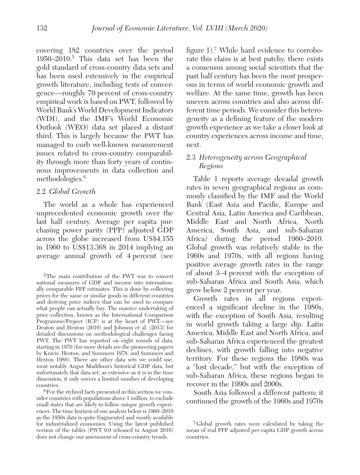covering 182 countries over the period 1950–2010.<sup>5</sup> This data set has been the gold standard of cross-country data sets and has been used extensively in the empirical growth literature, including tests of convergence—roughly 70 percent of cross-country empirical work is based on PWT, followed by World Bank's World Development Indicators (WDI), and the IMF's World Economic Outlook (WEO) data set placed a distant third. This is largely because the PWT has managed to curb well-known measurement issues related to cross-country comparability through more than forty years of continuous improvements in data collection and methodologies.<sup>6</sup>

# 2.2 Global Growth

The world as a whole has experienced unprecedented economic growth over the last half century. Average per capita purchasing power parity (PPP) adjusted GDP across the globe increased from US\$4,155 in 1960 to US\$13,368 in 2014 implying an average annual growth of 4 percent (see

6 For the stylized facts presented in this section we consider countries with populations above 1 million, to exclude small states that are likely to follow unique growth experiences. The time horizon of our analysis below is 1960–2010 as the 1950s data is quite fragmented and mostly available for industrialized economies. Using the latest published version of the tables (PWT 9.0 released in August 2016) does not change our assessment of cross-country trends.

figure 1).<sup>7</sup> While hard evidence to corroborate this claim is at best patchy, there exists a consensus among social scientists that the past half century has been the most prosperous in terms of world economic growth and welfare. At the same time, growth has been uneven across countries and also across different time periods. We consider this heterogeneity as a defining feature of the modern growth experience as we take a closer look at country experiences across income and time, next.

# 2.3 Heterogeneity across Geographical Regions

Table 1 reports average decadal growth rates in seven geographical regions as commonly classified by the IMF and the World Bank (East Asia and Pacific, Europe and Central Asia, Latin America and Caribbean, Middle East and North Africa, North America, South Asia, and sub-Saharan Africa) during the period 1960–2010. Global growth was relatively stable in the 1960s and 1970s, with all regions having positive average growth rates in the range of about 3–4 percent with the exception of sub-Saharan Africa and South Asia, which grew below 2 percent per year.

Growth rates in all regions experienced a significant decline in the 1980s, with the exception of South Asia, resulting in world growth taking a large dip. Latin America, Middle East and North Africa, and sub-Saharan Africa experienced the greatest declines, with growth falling into negative territory. For these regions the 1980s was a "lost decade," but with the exception of sub-Saharan Africa, these regions began to recover in the 1990s and 2000s.

South Asia followed a different pattern; it continued the growth of the 1960s and 1970s

<sup>5</sup> The main contribution of the PWT was to convert national measures of GDP and income into internationally comparable PPP estimates. This is done by collecting prices for the same or similar goods in different countries and deriving price indices that can be used to compare what people can actually buy. The massive undertaking of price collection, known as the International Comparison Programme/Project (ICP) is at the heart of PWT—see Deaton and Heston (2010) and Johnson et al. (2013) for detailed discussions on methodological challenges facing PWT. The PWT has reported on eight rounds of data, starting in 1970 (for more details see the pioneering papers by Kravis, Heston, and Summers 1978, and Summers and Heston 1988). There are other data sets we could use, most notably Angus Maddison's historical GDP data, but unfortunately that data set, as extensive as it is in the time dimension, it only covers a limited number of developing countries.

<sup>7</sup> Global growth rates were calculated by taking the mean of real PPP adjusted per capita GDP growth across countries.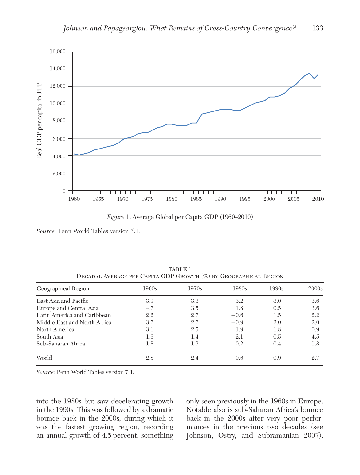

Figure 1. Average Global per Capita GDP ( 1960–2010)

Source: Penn World Tables version 7.1.

| Geographical Region          | 1960s | 1970s | 1980s  | 1990s  | 2000s |
|------------------------------|-------|-------|--------|--------|-------|
| East Asia and Pacific        | 3.9   | 3.3   | 3.2    | 3.0    | 3.6   |
| Europe and Central Asia      | 4.7   | 3.5   | 1.8    | 0.5    | 3.6   |
| Latin America and Caribbean  | 2.2   | 2.7   | $-0.6$ | 1.5    | 2.2   |
| Middle East and North Africa | 3.7   | 2.7   | $-0.9$ | 2.0    | 2.0   |
| North America                | 3.1   | 2.5   | 1.9    | 1.8    | 0.9   |
| South Asia                   | 1.6   | 1.4   | 2.1    | 0.5    | 4.5   |
| Sub-Saharan Africa           | 1.8   | 1.3   | $-0.2$ | $-0.4$ | 1.8   |
| World                        | 2.8   | 2.4   | 0.6    | 0.9    | 2.7   |

into the 1980s but saw decelerating growth in the 1990s. This was followed by a dramatic bounce back in the 2000s, during which it was the fastest growing region, recording an annual growth of 4.5 percent, something only seen previously in the 1960s in Europe. Notable also is sub-Saharan Africa's bounce back in the 2000s after very poor performances in the previous two decades (see Johnson, Ostry, and Subramanian 2007).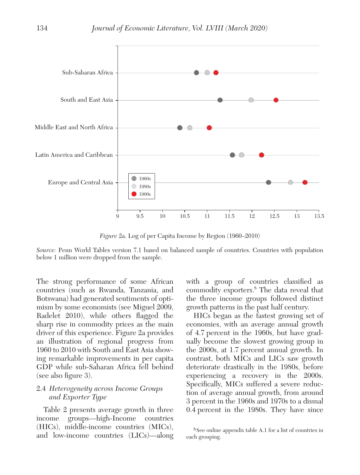

Figure 2a. Log of per Capita Income by Region ( 1960–2010)

Source: Penn World Tables version 7.1 based on balanced sample of countries. Countries with population below 1 million were dropped from the sample.

The strong performance of some African countries (such as Rwanda, Tanzania, and Botswana) had generated sentiments of optimism by some economists (see Miguel 2009, Radelet 2010), while others flagged the sharp rise in commodity prices as the main driver of this experience. Figure 2a provides an illustration of regional progress from 1960 to 2010 with South and East Asia showing remarkable improvements in per capita GDP while sub-Saharan Africa fell behind (see also figure 3).

# 2.4 Heterogeneity across Income Groups and Exporter Type

Table 2 presents average growth in three income groups—high-Income countries (HICs), middle-income countries (MICs), and low-income countries (LICs)—along with a group of countries classified as commodity exporters.<sup>8</sup> The data reveal that the three income groups followed distinct growth patterns in the past half century.

HICs began as the fastest growing set of economies, with an average annual growth of 4.7 percent in the 1960s, but have gradually become the slowest growing group in the 2000s, at 1.7 percent annual growth. In contrast, both MICs and LICs saw growth deteriorate drastically in the 1980s, before experiencing a recovery in the 2000s. Specifically, MICs suffered a severe reduction of average annual growth, from around 3 percent in the 1960s and 1970s to a dismal 0.4 percent in the 1980s. They have since

<sup>8</sup> See online appendix table A.1 for a list of countries in each grouping.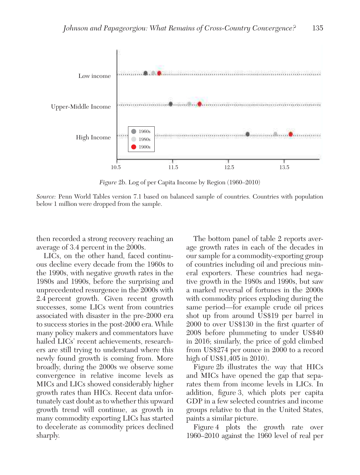

Figure 2b. Log of per Capita Income by Region (1960–2010)

Source: Penn World Tables version 7.1 based on balanced sample of countries. Countries with population below 1 million were dropped from the sample.

then recorded a strong recovery reaching an average of 3.4 percent in the 2000s.

LICs, on the other hand, faced continuous decline every decade from the 1960s to the 1990s, with negative growth rates in the 1980s and 1990s, before the surprising and unprecedented resurgence in the 2000s with 2.4 percent growth. Given recent growth successes, some LICs went from countries associated with disaster in the pre-2000 era to success stories in the post-2000 era. While many policy makers and commentators have hailed LICs' recent achievements, researchers are still trying to understand where this newly found growth is coming from. More broadly, during the 2000s we observe some convergence in relative income levels as MICs and LICs showed considerably higher growth rates than HICs. Recent data unfortunately cast doubt as to whether this upward growth trend will continue, as growth in many commodity exporting LICs has started to decelerate as commodity prices declined sharply.

The bottom panel of table 2 reports average growth rates in each of the decades in our sample for a commodity-exporting group of countries including oil and precious mineral exporters. These countries had negative growth in the 1980s and 1990s, but saw a marked reversal of fortunes in the 2000s with commodity prices exploding during the same period—for example crude oil prices shot up from around US\$19 per barrel in 2000 to over US\$130 in the first quarter of 2008 before plummeting to under US\$40 in 2016; similarly, the price of gold climbed from US\$274 per ounce in 2000 to a record high of US\$1,405 in 2010).

Figure 2b illustrates the way that HICs and MICs have opened the gap that separates them from income levels in LICs. In addition, figure 3, which plots per capita GDP in a few selected countries and income groups relative to that in the United States, paints a similar picture.

Figure 4 plots the growth rate over 1960–2010 against the 1960 level of real per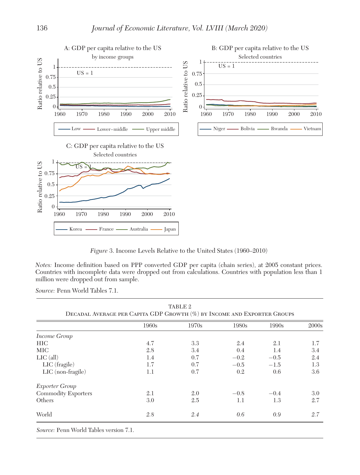

Figure 3. Income Levels Relative to the United States (1960–2010)

Notes: Income definition based on PPP converted GDP per capita (chain series), at 2005 constant prices. Countries with incomplete data were dropped out from calculations. Countries with population less than 1 million were dropped out from sample.

Source: Penn World Tables 7.1.

|                       | 1960s | 1970s | 1980s   | 1990s   | 2000s |
|-----------------------|-------|-------|---------|---------|-------|
| Income Group          |       |       |         |         |       |
| HIC.                  | 4.7   | 3.3   | 2.4     | 2.1     | 1.7   |
| <b>MIC</b>            | 2.8   | 3.4   | 0.4     | $1.4\,$ | 3.4   |
| $LIC$ (all)           | 1.4   | 0.7   | $-0.2$  | $-0.5$  | 2.4   |
| LIC (fragile)         | 1.7   | 0.7   | $-0.5$  | $-1.5$  | 1.3   |
| $LIC$ (non-fragile)   | 1.1   | 0.7   | 0.2     | 0.6     | 3.6   |
| <i>Exporter Group</i> |       |       |         |         |       |
| Commodity Exporters   | 2.1   | 2.0   | $-0.8$  | $-0.4$  | 3.0   |
| Others                | 3.0   | 2.5   | $1.1\,$ | 1.3     | 2.7   |
| World                 | 2.8   | 2.4   | 0.6     | 0.9     | 2.7   |

TABLE 2

Source: Penn World Tables version 7.1.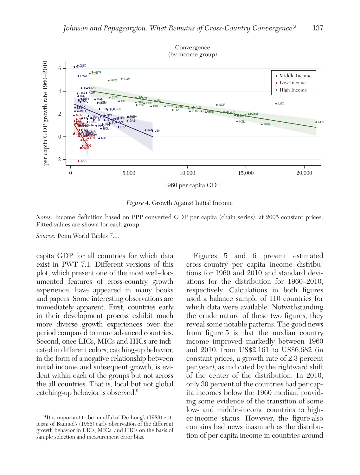

Figure 4. Growth Against Initial Income

Notes: Income definition based on PPP converted GDP per capita (chain series), at 2005 constant prices. Fitted values are shown for each group.

Source: Penn World Tables 7.1.

capita GDP for all countries for which data exist in PWT 7.1. Different versions of this plot, which present one of the most well-documented features of cross-country growth experience, have appeared in many books and papers. Some interesting observations are immediately apparent. First, countries early in their development process exhibit much more diverse growth experiences over the period compared to more advanced countries. Second, once LICs, MICs and HICs are indicated in different colors, catching-up behavior, in the form of a negative relationship between initial income and subsequent growth, is evident within each of the groups but not across the all countries. That is, local but not global catching-up behavior is observed.<sup>9</sup>

Figures 5 and 6 present estimated cross-country per capita income distributions for 1960 and 2010 and standard deviations for the distribution for 1960–2010, respectively. Calculations in both figures used a balance sample of 110 countries for which data were available. Notwithstanding the crude nature of these two figures, they reveal some notable patterns. The good news from figure 5 is that the median country income improved markedly between 1960 and 2010, from US\$2,161 to US\$6,682 (in constant prices, a growth rate of 2.3 percent per year), as indicated by the rightward shift of the center of the distribution. In 2010, only 30 percent of the countries had per capita incomes below the 1960 median, providing some evidence of the transition of some low- and middle-income countries to higher-income status. However, the figure also contains bad news inasmuch as the distribution of per capita income in countries around

<sup>9</sup> It is important to be mindful of De Long's (1988) criticism of Baumol's (1986) early observation of the different growth behavior in LICs, MICs, and HICs on the basis of sample selection and measurement error bias.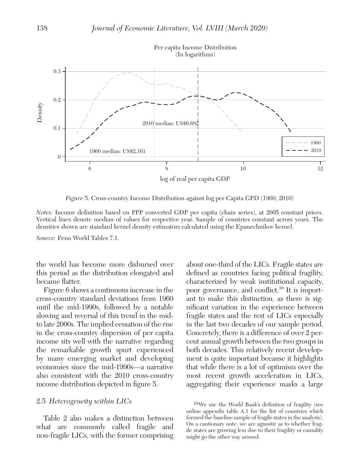

Figure 5. Cross-country Income Distribution against log per Capita GPD (1960, 2010)

Notes: Income definition based on PPP converted GDP per capita (chain series), at 2005 constant prices. Vertical lines denote median of values for respective year. Sample of countries constant across years. The densities shown are standard kernel density estimators calculated using the Epanechnikov kernel.

Source: Penn World Tables 7.1.

the world has become more disbursed over this period as the distribution elongated and became flatter.

Figure 6 shows a continuous increase in the cross-country standard deviations from 1960 until the mid-1990s, followed by a notable slowing and reversal of this trend in the midto late 2000s. The implied cessation of the rise in the cross-country dispersion of per capita income sits well with the narrative regarding the remarkable growth spurt experienced by many emerging market and developing economies since the mid-1990s—a narrative also consistent with the 2010 cross-country income distribution depicted in figure 5.

## 2.5 Heterogeneity within LICs

Table 2 also makes a distinction between what are commonly called fragile and non-fragile LICs, with the former comprising about one-third of the LICs. Fragile states are defined as countries facing political fragility, characterized by weak institutional capacity, poor governance, and conflict.<sup>10</sup> It is important to make this distinction, as there is significant variation in the experience between fragile states and the rest of LICs especially in the last two decades of our sample period. Concretely, there is a difference of over 2 percent annual growth between the two groups in both decades. This relatively recent development is quite important because it highlights that while there is a lot of optimism over the most recent growth acceleration in LICs, aggregating their experience masks a large

10 We use the World Bank's definition of fragility (see online appendix table A.1 for the list of countries which formed the baseline sample of fragile states in the analysis). On a cautionary note, we are agnostic as to whether fragile states are growing less due to their fragility or causality might go the other way around.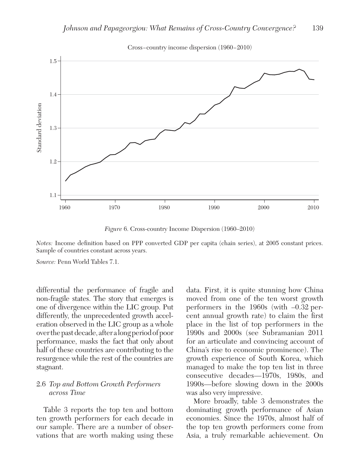

Cross−country income dispersion (1960−2010)

Figure 6. Cross-country Income Dispersion (1960–2010)

Notes: Income definition based on PPP converted GDP per capita (chain series), at 2005 constant prices. Sample of countries constant across years.

Source: Penn World Tables 7.1.

differential the performance of fragile and non-fragile states. The story that emerges is one of divergence within the LIC group. Put differently, the unprecedented growth acceleration observed in the LIC group as a whole over the past decade, after a long period of poor performance, masks the fact that only about half of these countries are contributing to the resurgence while the rest of the countries are stagnant.

# 2.6 Top and Bottom Growth Performers across Time

Table 3 reports the top ten and bottom ten growth performers for each decade in our sample. There are a number of observations that are worth making using these data. First, it is quite stunning how China moved from one of the ten worst growth performers in the 1960s (with –0.32 percent annual growth rate) to claim the first place in the list of top performers in the 1990s and 2000s (see Subramanian 2011 for an articulate and convincing account of China's rise to economic prominence). The growth experience of South Korea, which managed to make the top ten list in three consecutive decades—1970s, 1980s, and 1990s—before slowing down in the 2000s was also very impressive.

More broadly, table 3 demonstrates the dominating growth performance of Asian economies. Since the 1970s, almost half of the top ten growth performers come from Asia, a truly remarkable achievement. On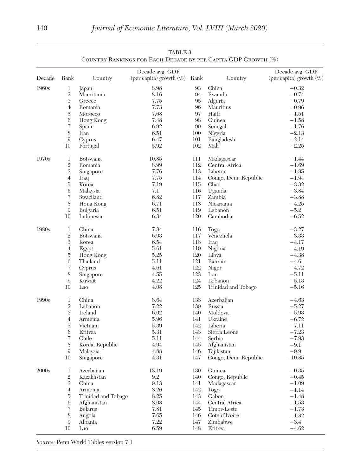| Decade | Rank              | Country             | Decade avg. GDP<br>(per capita) growth $(\%)$ Rank |     | Country              | Decade avg. GDP<br>(per capita) growth (%) |
|--------|-------------------|---------------------|----------------------------------------------------|-----|----------------------|--------------------------------------------|
|        |                   |                     |                                                    |     |                      |                                            |
| 1960s  | 1                 | Japan               | 8.98                                               | 93  | China                | $-0.32$                                    |
|        | $\,2$             | Mauritania          | 8.16                                               | 94  | Rwanda               | $-0.74$                                    |
|        | 3                 | Greece              | 7.75                                               | 95  | Algeria              | $-0.79$                                    |
|        | $\overline{4}$    | Romania             | 7.73                                               | 96  | Mauritius            | $-0.96$                                    |
|        | 5                 | Morocco             | 7.68                                               | 97  | Haiti                | $-1.51$                                    |
|        | $\,6\,$           | Hong Kong           | 7.48                                               | 98  | Guinea               | $-1.58$                                    |
|        | 7                 | Spain               | 6.92                                               | 99  | Senegal              | $-1.76$                                    |
|        | 8                 | Iran                | 6.51                                               | 100 | Nigeria              | $-2.13$                                    |
|        | 9                 | Cyprus              | 6.47                                               | 101 | Bangladesh           | $-2.14$                                    |
|        | 10                | Portugal            | 5.92                                               | 102 | Mali                 | $-2.25$                                    |
| 1970s  | 1                 | <b>Botswana</b>     | 10.85                                              | 111 | Madagascar           | $-1.44$                                    |
|        | $\,2$             | Romania             | 8.99                                               | 112 | Central Africa       | $-1.69$                                    |
|        | $\,3$             | Singapore           | 7.76                                               | 113 | Liberia              | $-1.85$                                    |
|        | $\overline{4}$    | Iraq                | 7.75                                               | 114 | Congo, Dem. Republic | $-1.94$                                    |
|        | 5                 | Korea               | 7.19                                               | 115 | Chad                 | $-3.32$                                    |
|        | 6                 | Malaysia            | 7.1                                                | 116 | Uganda               | $-3.84$                                    |
|        | $\scriptstyle{7}$ | Swaziland           | 6.82                                               | 117 | Zambia               | $-3.88$                                    |
|        | 8                 | Hong Kong           | 6.71                                               | 118 | Nicaragua            | $-4.25$                                    |
|        | 9                 | Bulgaria            | 6.51                                               | 119 | Lebanon              | $-5.2$                                     |
|        | 10                | Indonesia           | 6.34                                               | 120 | Cambodia             | $-6.52$                                    |
| 1980s  | 1                 | China               | 7.34                                               | 116 | Togo                 | $-3.27$                                    |
|        | $\,2$             | Botswana            | 6.93                                               | 117 | Venezuela            | $-3.33$                                    |
|        | 3                 | Korea               | 6.54                                               | 118 | Iraq                 | $-4.17$                                    |
|        | $\overline{4}$    | Egypt               | 5.61                                               | 119 | Nigeria              | $-4.19$                                    |
|        | 5                 | Hong Kong           | 5.25                                               | 120 | Libya                | $-4.38$                                    |
|        | 6                 | Thailand            | 5.11                                               | 121 | Bahrain              | $-4.6$                                     |
|        | 7                 | Cyprus              | 4.61                                               | 122 | Niger                | $-4.72$                                    |
|        | 8                 | Singapore           | 4.55                                               | 123 | Iran                 | $-5.11$                                    |
|        | 9                 | Kuwait              | 4.22                                               | 124 | Lebanon              | $-5.13$                                    |
|        | 10                | Lao                 | 4.08                                               | 125 | Trinidad and Tobago  | $-5.16$                                    |
| 1990s  | 1                 | China               | 8.64                                               | 138 | Azerbaijan           | $-4.63$                                    |
|        | $\,2$             | Lebanon             | 7.22                                               | 139 | Russia               | $-5.27$                                    |
|        | 3                 | Ireland             | 6.02                                               | 140 | Moldova              | $-5.93$                                    |
|        | $\overline{4}$    | Armenia             | 5.96                                               | 141 | Ukraine              | $-6.72$                                    |
|        | 5                 | Vietnam             | 5.39                                               | 142 | Liberia              | $-7.11$                                    |
|        | 6                 | Eritrea             | 5.31                                               | 143 | Sierra Leone         | $-7.23$                                    |
|        | $\scriptstyle{7}$ | Chile               | 5.11                                               | 144 | Serbia               | $-7.93$                                    |
|        | 8                 | Korea, Republic     | 4.94                                               | 145 | Afghanistan          | $-9.1$                                     |
|        | 9                 | Malaysia            | 4.88                                               | 146 | Tajikistan           | $-9.9$                                     |
|        | 10                | Singapore           | 4.31                                               | 147 | Congo, Dem. Republic | $-10.85$                                   |
| 2000s  | 1                 | Azerbaijan          | 13.19                                              | 139 | Guinea               | $-0.35$                                    |
|        | $\,2$             | Kazakhstan          | 9.2                                                | 140 | Congo, Republic      | $-0.45$                                    |
|        | $\,3$             | China               | 9.13                                               | 141 | Madagascar           | $-1.09$                                    |
|        | $\overline{4}$    | Armenia             | 8.26                                               | 142 | Togo                 | $-1.14$                                    |
|        | 5                 | Trinidad and Tobago | $8.25\,$                                           | 143 | Gabon                | $-1.48$                                    |
|        | 6                 | Afghanistan         | 8.08                                               | 144 | Central Africa       | $-1.53$                                    |
|        | 7                 | Belarus             | 7.81                                               | 145 | Timor-Leste          | $-1.73$                                    |
|        | 8                 | Angola              | 7.65                                               | 146 | Cote d'Ivoire        | $-1.82$                                    |
|        | 9                 | Albania             | 7.22                                               | 147 | Zimbabwe             | $-3.4$                                     |
|        | 10                | Lao                 | 6.59                                               | 148 | Eritrea              | $-4.62$                                    |

| TABLE 3                                                      |  |
|--------------------------------------------------------------|--|
| COUNTRY RANKINGS FOR EACH DECADE BY PER CAPITA GDP GROWTH (% |  |

Source: Penn World Tables version 7.1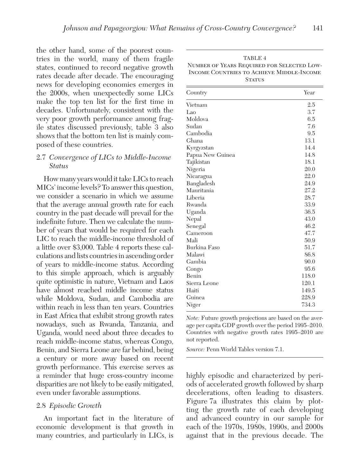the other hand, some of the poorest countries in the world, many of them fragile states, continued to record negative growth rates decade after decade. The encouraging news for developing economies emerges in the 2000s, when unexpectedly some LICs make the top ten list for the first time in decades. Unfortunately, consistent with the very poor growth performance among fragile states discussed previously, table 3 also shows that the bottom ten list is mainly composed of these countries.

## 2.7 Convergence of LICs to Middle-Income Status

How many years would it take LICs to reach MICs' income levels? To answer this question, we consider a scenario in which we assume that the average annual growth rate for each country in the past decade will prevail for the indefinite future. Then we calculate the number of years that would be required for each LIC to reach the middle-income threshold of a little over \$3,000. Table 4 reports these calculations and lists countries in ascending order of years to middle-income status. According to this simple approach, which is arguably quite optimistic in nature, Vietnam and Laos have almost reached middle income status while Moldova, Sudan, and Cambodia are within reach in less than ten years. Countries in East Africa that exhibit strong growth rates nowadays, such as Rwanda, Tanzania, and Uganda, would need about three decades to reach middle-income status, whereas Congo, Benin, and Sierra Leone are far behind, being a century or more away based on recent growth performance. This exercise serves as a reminder that huge cross-country income disparities are not likely to be easily mitigated, even under favorable assumptions.

## 2.8 Episodic Growth

An important fact in the literature of economic development is that growth in many countries, and particularly in LICs, is

| TABLE 4                                    |
|--------------------------------------------|
| NUMBER OF YEARS REQUIRED FOR SELECTED LOW- |
| INCOME COUNTRIES TO ACHIEVE MIDDLE-INCOME  |
| <b>STATUS</b>                              |

| Country          | Year  |
|------------------|-------|
| Vietnam          | 2.5   |
| Lao              | 3.7   |
| Moldova          | 6.5   |
| Sudan            | 7.6   |
| Cambodia         | 9.5   |
| Ghana            | 13.1  |
| Kyrgyzstan       | 14.4  |
| Papua New Guinea | 14.8  |
| Tajikistan       | 18.1  |
| Nigeria          | 20.0  |
| Nicaragua        | 22.0  |
| Bangladesh       | 24.9  |
| Mauritania       | 27.2  |
| Liberia          | 28.7  |
| Rwanda           | 33.9  |
| Uganda           | 36.5  |
| Nepal            | 43.0  |
| Senegal          | 46.2  |
| Cameroon         | 47.7  |
| Mali             | 50.9  |
| Burkina Faso     | 51.7  |
| Malawi           | 86.8  |
| Gambia           | 90.0  |
| Congo            | 95.6  |
| Benin            | 118.0 |
| Sierra Leone     | 120.1 |
| Haiti            | 149.5 |
| Guinea           | 228.9 |
| Niger            | 734.3 |

Note: Future growth projections are based on the average per capita GDP growth over the period 1995–2010. Countries with negative growth rates 1995–2010 are not reported.

Source: Penn World Tables version 7.1.

highly episodic and characterized by periods of accelerated growth followed by sharp decelerations, often leading to disasters. Figure 7a illustrates this claim by plotting the growth rate of each developing and advanced country in our sample for each of the 1970s, 1980s, 1990s, and 2000s against that in the previous decade. The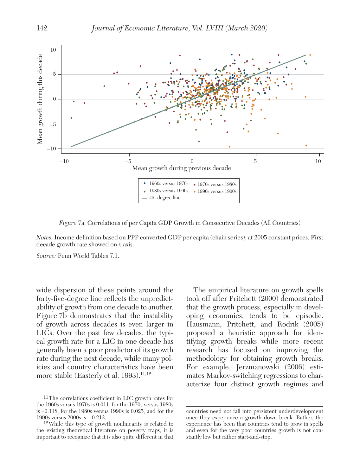

Figure 7a. Correlations of per Capita GDP Growth in Consecutive Decades (All Countries)

Notes: Income definition based on PPP converted GDP per capita (chain series), at 2005 constant prices. First decade growth rate showed on x axis.

Source: Penn World Tables 7.1.

wide dispersion of these points around the forty-five-degree line reflects the unpredictability of growth from one decade to another. Figure 7b demonstrates that the instability of growth across decades is even larger in LICs. Over the past few decades, the typical growth rate for a LIC in one decade has generally been a poor predictor of its growth rate during the next decade, while many policies and country characteristics have been more stable (Easterly et al.  $1993$ ).<sup>11,12</sup>

The empirical literature on growth spells took off after Pritchett (2000) demonstrated that the growth process, especially in developing economies, tends to be episodic. Hausmann, Pritchett, and Rodrik (2005) proposed a heuristic approach for identifying growth breaks while more recent research has focused on improving the methodology for obtaining growth breaks. For example, Jerzmanowski (2006) estimates Markov-switching regressions to characterize four distinct growth regimes and

<sup>11</sup> The correlations coefficient in LIC growth rates for the 1960s versus 1970s is 0.011, for the 1970s versus 1980s is –0.118, for the 1980s versus 1990s is 0.025, and for the 1990s versus 2000s is −0.212.

<sup>12</sup> While this type of growth nonlinearity is related to the existing theoretical literature on poverty traps, it is important to recognize that it is also quite different in that

countries need not fall into persistent underdevelopment once they experience a growth down break. Rather, the experience has been that countries tend to grow in spells and even for the very poor countries growth is not constantly low but rather start-and-stop.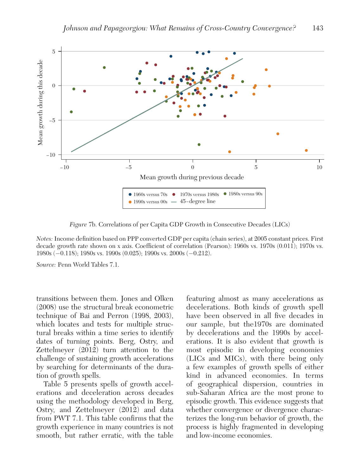

Figure 7b. Correlations of per Capita GDP Growth in Consecutive Decades (LICs)

Notes: Income definition based on PPP converted GDP per capita (chain series), at 2005 constant prices. First decade growth rate shown on x axis. Coefficient of correlation (Pearson): 1960s vs. 1970s (0.011); 1970s vs. 1980s (−0.118); 1980s vs. 1990s (0.025); 1990s vs. 2000s (−0.212).

Source: Penn World Tables 7.1.

transitions between them. Jones and Olken (2008) use the structural break econometric technique of Bai and Perron (1998, 2003), which locates and tests for multiple structural breaks within a time series to identify dates of turning points. Berg, Ostry, and Zettelmeyer (2012) turn attention to the challenge of sustaining growth accelerations by searching for determinants of the duration of growth spells.

Table 5 presents spells of growth accelerations and deceleration across decades using the methodology developed in Berg, Ostry, and Zettelmeyer (2012) and data from PWT 7.1. This table confirms that the growth experience in many countries is not smooth, but rather erratic, with the table

featuring almost as many accelerations as decelerations. Both kinds of growth spell have been observed in all five decades in our sample, but the1970s are dominated by decelerations and the 1990s by accelerations. It is also evident that growth is most episodic in developing economies (LICs and MICs), with there being only a few examples of growth spells of either kind in advanced economies. In terms of geographical dispersion, countries in sub-Saharan Africa are the most prone to episodic growth. This evidence suggests that whether convergence or divergence characterizes the long-run behavior of growth, the process is highly fragmented in developing and low-income economies.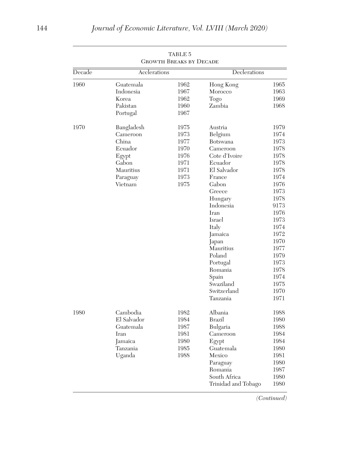|        |                                                                                                  | <b>GROWTH BREAKS BY DECADE</b>                                       |                                                                                                                                                                                                                                                                                                         |                                                                                                                                                                                                      |
|--------|--------------------------------------------------------------------------------------------------|----------------------------------------------------------------------|---------------------------------------------------------------------------------------------------------------------------------------------------------------------------------------------------------------------------------------------------------------------------------------------------------|------------------------------------------------------------------------------------------------------------------------------------------------------------------------------------------------------|
| Decade | Acclerations                                                                                     |                                                                      | Declerations                                                                                                                                                                                                                                                                                            |                                                                                                                                                                                                      |
| 1960   | Guatemala<br>Indonesia<br>Korea<br>Pakistan<br>Portugal                                          | 1962<br>1967<br>1962<br>1960<br>1967                                 | Hong Kong<br>Morocco<br>Togo<br>Zambia                                                                                                                                                                                                                                                                  | 1965<br>1963<br>1969<br>1968                                                                                                                                                                         |
| 1970   | Bangladesh<br>Cameroon<br>China<br>Ecuador<br>Egypt<br>Gabon<br>Mauritius<br>Paraguay<br>Vietnam | 1975<br>1973<br>1977<br>1970<br>1976<br>1971<br>1971<br>1973<br>1975 | Austria<br>Belgium<br><b>Botswana</b><br>Cameroon<br>Cote d'Ivoire<br>Ecuador<br>El Salvador<br>France<br>Gabon<br>Greece<br>Hungary<br>Indonesia<br><b>I</b> ran<br>Israel<br>Italy<br>Jamaica<br>Japan<br>Mauritius<br>Poland<br>Portugal<br>Romania<br>Spain<br>Swaziland<br>Switzerland<br>Tanzania | 1979<br>1974<br>1973<br>1978<br>1978<br>1978<br>1978<br>1974<br>1976<br>1973<br>1978<br>9173<br>1976<br>1973<br>1974<br>1972<br>1970<br>1977<br>1979<br>1973<br>1978<br>1974<br>1975<br>1970<br>1971 |
| 1980   | Cambodia<br>El Salvador<br>Guatemala<br>Iran<br>Jamaica<br>Tanzania<br>Uganda                    | 1982<br>1984<br>1987<br>1981<br>1980<br>1985<br>1988                 | Albania<br>Brazil<br>Bulgaria<br>Cameroon<br>Egypt<br>Guatemala<br>Mexico<br>Paraguay<br>Romania<br>South Africa<br>Trinidad and Tobago                                                                                                                                                                 | 1988<br>1980<br>1988<br>1984<br>1984<br>1980<br>1981<br>1980<br>1987<br>1980<br>1980                                                                                                                 |

(Continued)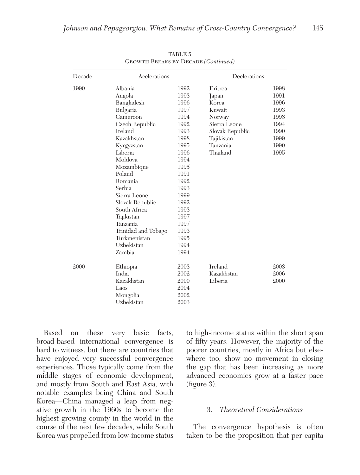| Decade | Acclerations        |      | Declerations    |      |
|--------|---------------------|------|-----------------|------|
| 1990   | Albania             | 1992 | Eritrea         | 1998 |
|        | Angola              | 1993 | Japan           | 1991 |
|        | Bangladesh          | 1996 | Korea           | 1996 |
|        | Bulgaria            | 1997 | Kuwait          | 1993 |
|        | Cameroon            | 1994 | Norway          | 1998 |
|        | Czech Republic      | 1992 | Sierra Leone    | 1994 |
|        | Ireland             | 1993 | Slovak Republic | 1990 |
|        | Kazakhstan          | 1998 | Tajikistan      | 1999 |
|        | Kyrgyzstan          | 1995 | Tanzania        | 1990 |
|        | Liberia             | 1996 | Thailand        | 1995 |
|        | Moldova             | 1994 |                 |      |
|        | Mozambique          | 1995 |                 |      |
|        | Poland              | 1991 |                 |      |
|        | Romania             | 1992 |                 |      |
|        | Serbia              | 1993 |                 |      |
|        | Sierra Leone        | 1999 |                 |      |
|        | Slovak Republic     | 1992 |                 |      |
|        | South Africa        | 1993 |                 |      |
|        | Tajikistan          | 1997 |                 |      |
|        | Tanzania            | 1997 |                 |      |
|        | Trinidad and Tobago | 1993 |                 |      |
|        | Turkmenistan        | 1995 |                 |      |
|        | Uzbekistan          | 1994 |                 |      |
|        | Zambia              | 1994 |                 |      |
| 2000   | Ethiopia            | 2003 | <b>Ireland</b>  | 2003 |
|        | India               | 2002 | Kazakhstan      | 2006 |
|        | Kazakhstan          | 2000 | Liberia         | 2000 |
|        | Laos                | 2004 |                 |      |
|        | Mongolia            | 2002 |                 |      |
|        | Uzbekistan          | 2003 |                 |      |

Based on these very basic facts, broad-based international convergence is hard to witness, but there are countries that have enjoyed very successful convergence experiences. Those typically come from the middle stages of economic development, and mostly from South and East Asia, with notable examples being China and South Korea—China managed a leap from negative growth in the 1960s to become the highest growing county in the world in the course of the next few decades, while South Korea was propelled from low-income status to high-income status within the short span of fifty years. However, the majority of the poorer countries, mostly in Africa but elsewhere too, show no movement in closing the gap that has been increasing as more advanced economies grow at a faster pace (figure 3).

# 3. Theoretical Considerations

The convergence hypothesis is often taken to be the proposition that per capita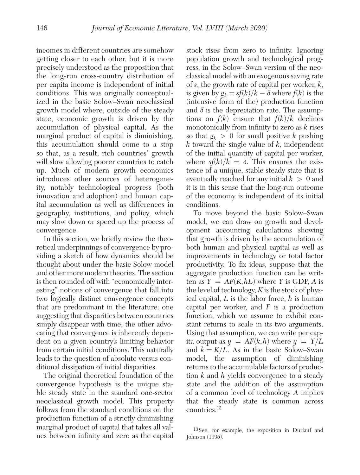incomes in different countries are somehow getting closer to each other, but it is more precisely understood as the proposition that the long-run cross-country distribution of per capita income is independent of initial conditions. This was originally conceptualized in the basic Solow–Swan neoclassical growth model where, outside of the steady state, economic growth is driven by the accumulation of physical capital. As the marginal product of capital is diminishing, this accumulation should come to a stop so that, as a result, rich countries' growth will slow allowing poorer countries to catch up. Much of modern growth economics introduces other sources of heterogeneity, notably technological progress (both innovation and adoption) and human capital accumulation as well as differences in geography, institutions, and policy, which may slow down or speed up the process of convergence.

In this section, we briefly review the theoretical underpinnings of convergence by providing a sketch of how dynamics should be thought about under the basic Solow model and other more modern theories. The section is then rounded off with "economically interesting" notions of convergence that fall into two logically distinct convergence concepts that are predominant in the literature: one suggesting that disparities between countries simply disappear with time; the other advocating that convergence is inherently dependent on a given country's limiting behavior from certain initial conditions. This naturally leads to the question of absolute versus conditional dissipation of initial disparities.

The original theoretical foundation of the convergence hypothesis is the unique stable steady state in the standard one-sector neoclassical growth model. This property follows from the standard conditions on the production function of a strictly diminishing marginal product of capital that takes all values between infinity and zero as the capital

stock rises from zero to infinity. Ignoring population growth and technological progress, in the Solow–Swan version of the neoclassical model with an exogenous saving rate of s, the growth rate of capital per worker,  $k$ , is given by  $g_k = sf(k)/k - \delta$  where  $f(k)$  is the (intensive form of the) production function and  $\delta$  is the depreciation rate. The assumptions on  $f(k)$  ensure that  $f(k)/k$  declines monotonically from infinity to zero as  $k$  rises so that  $g_k > 0$  for small positive k pushing k toward the single value of  $k$ , independent of the initial quantity of capital per worker, where  $s f(k)/k = \delta$ . This ensures the existence of a unique, stable steady state that is eventually reached for any initial  $k > 0$  and it is in this sense that the long-run outcome of the economy is independent of its initial conditions.

To move beyond the basic Solow–Swan model, we can draw on growth and development accounting calculations showing that growth is driven by the accumulation of both human and physical capital as well as improvements in technology or total factor productivity. To fix ideas, suppose that the aggregate production function can be written as  $Y = AF(K, hL)$  where Y is GDP, A is the level of technology, K is the stock of physical capital,  $L$  is the labor force,  $h$  is human capital per worker, and  $F$  is a production function, which we assume to exhibit constant returns to scale in its two arguments. Using that assumption, we can write per capita output as  $y = AF(k, h)$  where  $y = Y/L$ and  $k = K/L$ . As in the basic Solow–Swan model, the assumption of diminishing returns to the accumulable factors of production  $k$  and  $h$  yields convergence to a steady state and the addition of the assumption of a common level of technology A implies that the steady state is common across countries.<sup>13</sup>

<sup>13</sup> See, for example, the exposition in Durlauf and Johnson (1995).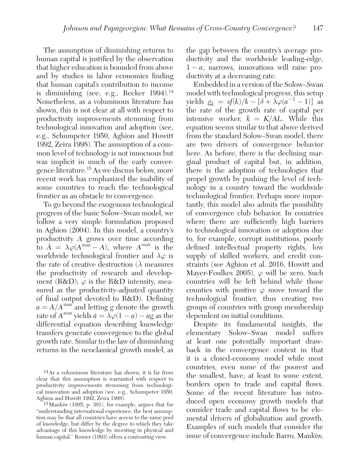The assumption of diminishing returns to human capital is justified by the observation that higher education is bounded from above and by studies in labor economics finding that human capital's contribution to income is diminishing (see, e.g., Becker  $1994$ ).<sup>14</sup> Nonetheless, as a voluminous literature has shown, this is not clear at all with respect to productivity improvements stemming from technological innovation and adoption (see, e.g., Schumpeter 1950, Aghion and Howitt 1992, Zeira 1998). The assumption of a common level of technology is not innocuous but was implicit in much of the early convergence literature.<sup>15</sup> As we discuss below, more recent work has emphasized the inability of some countries to reach the technological frontier as an obstacle to convergence.

To go beyond the exogenous technological progress of the basic Solow–Swan model, we follow a very simple formulation proposed in Aghion (2004). In this model, a country's productivity A grows over time according to  $\dot{A} = \lambda \varphi (A^{\text{max}} - A)$ , where  $A^{\text{max}}$  is the worldwide technological frontier and  $\lambda \varphi$  is the rate of creative destruction  $(\lambda)$  measures the productivity of research and development (R&D);  $\varphi$  is the R&D intensity, measured as the productivity-adjusted quantity of final output devoted to R&D). Defining  $a = A/A^{\text{max}}$  and letting g denote the growth rate of  $A^{max}$  yields  $\dot{a} = \lambda \varphi (1 - a) - a \ddot{g}$  as the differential equation describing knowledge transfers generate convergence to the global growth rate. Similar to the law of diminishing returns in the neoclassical growth model, as

the gap between the country's average productivity and the worldwide leading-edge,  $1 - a$ , narrows, innovations will raise productivity at a decreasing rate.

Embedded in a version of the Solow–Swan model with technological progress, this setup yields  $g_k = sf(k)/k - [\delta + \lambda \varphi(a^{-1} - 1)]$  as the rate of the growth rate of capital per intensive worker,  $k = K/AL$ . While this equation seems similar to that above derived from the standard Solow–Swan model, there are two drivers of convergence behavior here. As before, there is the declining marginal product of capital but, in addition, there is the adoption of technologies that propel growth by pushing the level of technology in a country toward the worldwide technological frontier. Perhaps more importantly, this model also admits the possibility of convergence club behavior. In countries where there are sufficiently high barriers to technological innovation or adoption due to, for example, corrupt institutions, poorly defined intellectual property rights, low supply of skilled workers, and credit constraints (see Aghion et al. 2016, Howitt and Mayer-Foulkes 2005),  $\varphi$  will be zero. Such countries will be left behind while those counties with positive  $\varphi$  move toward the technological frontier, thus creating two groups of countries with group membership dependent on initial conditions.

Despite its fundamental insights, the elementary Solow–Swan model suffers at least one potentially important drawback in the convergence context in that it is a closed-economy model while most countries, even some of the poorest and the smallest, have, at least to some extent, borders open to trade and capital flows. Some of the recent literature has introduced open economy growth models that consider trade and capital flows to be elemental drivers of globalization and growth. Examples of such models that consider the issue of convergence include Barro, Mankiw,

<sup>14</sup> As a voluminous literature has shown, it is far from clear that this assumption is warranted with respect to productivity improvements stemming from technological innovation and adoption (see, e.g., Schumpeter 1950, Aghion and Howitt 1992, Zeira 1998).

<sup>15</sup> Mankiw (1995, p. 301), for example, argues that for "understanding international experience, the best assumption may be that all countries have access to the same pool of knowledge, but differ by the degree to which they take advantage of this knowledge by investing in physical and human capital." Romer (1993) offers a contrasting view.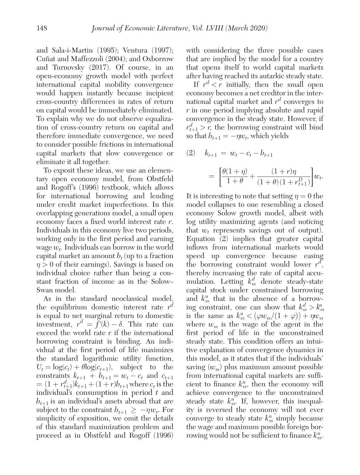and Sala-i-Martin (1995); Ventura (1997); Cuñat and Maffezzoli (2004); and Oxborrow and Turnovsky (2017). Of course, in an open-economy growth model with perfect international capital mobility convergence would happen instantly because incipient cross-country differences in rates of return on capital would be immediately eliminated. To explain why we do not observe equalization of cross-country return on capital and therefore immediate convergence, we need to consider possible frictions in international capital markets that slow convergence or eliminate it all together.

To exposit these ideas, we use an elementary open economy model, from Obstfeld and Rogoff's (1996) textbook, which allows for international borrowing and lending under credit market imperfections. In this overlapping generations model, a small open economy faces a fixed world interest rate r. Individuals in this economy live two periods, working only in the first period and earning wage  $w_t$ . Individuals can borrow in the world capital market an amount  $b_t$  (up to a fraction  $\eta > 0$  of their earnings). Savings is based on individual choice rather than being a constant fraction of income as in the Solow– Swan model.

As in the standard neoclassical model, the equilibrium domestic interest rate  $r^d$ is equal to net marginal return to domestic investment,  $r^d = \tilde{f}'(k) - \delta$ . This rate can exceed the world rate  $r$  if the international borrowing constraint is binding. An individual at the first period of life maximizes the standard logarithmic utility function,  $U_t = \log(c_t) + \theta \log(c_{t+1}),$  subject to the constraints  $k_{t+1} + b_{t+1} = w_t - c_t$  and  $c_{t+1}$  $= (1 + r_{t+1}^d)k_{t+1} + (1+r)b_{t+1}$  where  $c_t$  is the individual's consumption in period  $t$  and  $b_{t+1}$  is an individual's assets abroad that are subject to the constraint  $b_{t+1} \ge -\eta w_t$ . For simplicity of exposition, we omit the details of this standard maximization problem and proceed as in Obstfeld and Rogoff (1996)

with considering the three possible cases that are implied by the model for a country that opens itself to world capital markets after having reached its autarkic steady state.

If  $r^d < r$  initially, then the small open economy becomes a net creditor in the international capital market and  $r^d$  converges to r in one period implying absolute and rapid convergence in the steady state. However, if  $r_{t+1}^d > r$ , the borrowing constraint will bind so that  $b_{t+1} = -\eta w_t$ , which yields

(2) 
$$
k_{t+1} = w_t - c_t - b_{t+1}
$$
  
=  $\left[ \frac{\theta(1+\eta)}{1+\theta} + \frac{(1+r)\eta}{(1+\theta)(1+r_{t+1}^D)} \right] w_t.$ 

It is interesting to note that setting  $\eta = 0$  the model collapses to one resembling a closed economy Solow growth model, albeit with log utility maximizing agents (and noticing that  $w_t$  represents savings out of output). Equation (2) implies that greater capital inflows from international markets would speed up convergence because easing the borrowing constraint would lower  $r^d$ , thereby increasing the rate of capital accumulation. Letting  $k_{ss}^d$  denote steady-state capital stock under constrained borrowing and  $k_{ss}^u$  that in the absence of a borrowing constraint, one can show that  $k_{ss}^d > k_{ss}^u$ is the same as  $k_{ss}^u < (\varphi w_{ss}/(1+\varphi)) + \eta w_{ss}$ where  $w_{ss}$  is the wage of the agent in the first period of life in the unconstrained steady state. This condition offers an intuitive explanation of convergence dynamics in this model, as it states that if the individuals' saving  $(w_{ss})$  plus maximum amount possible from international capital markets are sufficient to finance  $k_{ss}^u$ , then the economy will achieve convergence to the unconstrained steady state  $k_{ss}^u$ . If, however, this inequality is reversed the economy will not ever converge to steady state  $k_{ss}^u$  simply because the wage and maximum possible foreign borrowing would not be sufficient to finance  $k_{ss}^u$ .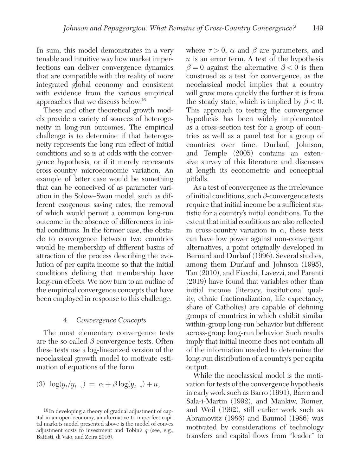In sum, this model demonstrates in a very tenable and intuitive way how market imperfections can deliver convergence dynamics that are compatible with the reality of more integrated global economy and consistent with evidence from the various empirical approaches that we discuss below.<sup>16</sup>

These and other theoretical growth models provide a variety of sources of heterogeneity in long-run outcomes. The empirical challenge is to determine if that heterogeneity represents the long-run effect of initial conditions and so is at odds with the convergence hypothesis, or if it merely represents cross-country microeconomic variation. An example of latter case would be something that can be conceived of as parameter variation in the Solow–Swan model, such as different exogenous saving rates, the removal of which would permit a common long-run outcome in the absence of differences in initial conditions. In the former case, the obstacle to convergence between two countries would be membership of different basins of attraction of the process describing the evolution of per capita income so that the initial conditions defining that membership have long-run effects. We now turn to an outline of the empirical convergence concepts that have been employed in response to this challenge.

#### 4. Convergence Concepts

The most elementary convergence tests are the so-called  $\beta$ -convergence tests. Often these tests use a log-linearized version of the neoclassical growth model to motivate estimation of equations of the form

$$
(3) \ \log(y_t/y_{t-\tau}) = \alpha + \beta \log(y_{t-\tau}) + u,
$$

where  $\tau > 0$ ,  $\alpha$  and  $\beta$  are parameters, and  $u$  is an error term. A test of the hypothesis  $\beta = 0$  against the alternative  $\beta < 0$  is then construed as a test for convergence, as the neoclassical model implies that a country will grow more quickly the further it is from the steady state, which is implied by  $\beta < 0$ . This approach to testing the convergence hypothesis has been widely implemented as a cross-section test for a group of countries as well as a panel test for a group of countries over time. Durlauf, Johnson, and Temple (2005) contains an extensive survey of this literature and discusses at length its econometric and conceptual pitfalls.

As a test of convergence as the irrelevance of initial conditions, such  $\beta$ -convergence tests require that initial income be a sufficient statistic for a country's initial conditions. To the extent that initial conditions are also reflected in cross-country variation in  $\alpha$ , these tests can have low power against non-convergent alternatives, a point originally developed in Bernard and Durlauf (1996). Several studies, among them Durlauf and Johnson (1995), Tan (2010), and Fiaschi, Lavezzi, and Parenti (2019) have found that variables other than initial income (literacy, institutional quality, ethnic fractionalization, life expectancy, share of Catholics) are capable of defining groups of countries in which exhibit similar within-group long-run behavior but different across-group long-run behavior. Such results imply that initial income does not contain all of the information needed to determine the long-run distribution of a country's per capita output.

While the neoclassical model is the motivation for tests of the convergence hypothesis in early work such as Barro (1991), Barro and Sala-i-Martin (1992), and Mankiw, Romer, and Weil (1992), still earlier work such as Abramovitz (1986) and Baumol (1986) was motivated by considerations of technology transfers and capital flows from "leader" to

<sup>16</sup> In developing a theory of gradual adjustment of capital in an open economy, an alternative to imperfect capital markets model presented above is the model of convex adjustment costs to investment and Tobin's  $q$  (see, e.g., Battisti, di Vaio, and Zeira 2016).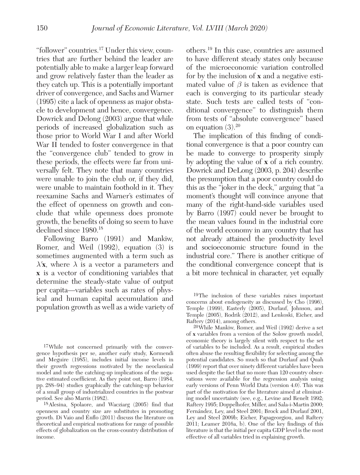"follower" countries.17 Under this view, countries that are further behind the leader are potentially able to make a larger leap forward and grow relatively faster than the leader as they catch up. This is a potentially important driver of convergence, and Sachs and Warner (1995) cite a lack of openness as major obstacle to development and hence, convergence. Dowrick and Delong (2003) argue that while periods of increased globalization such as those prior to World War I and after World War II tended to foster convergence in that the "convergence club" tended to grow in these periods, the effects were far from universally felt. They note that many countries were unable to join the club or, if they did, were unable to maintain foothold in it. They reexamine Sachs and Warner's estimates of the effect of openness on growth and conclude that while openness does promote growth, the benefits of doing so seem to have declined since 1980.<sup>18</sup>

Following Barro (1991) and Mankiw, Romer, and Weil (1992), equation (3) is sometimes augmented with a term such as  $\lambda'$ **x**, where  $\lambda$  is a vector a parameters and **x** is a vector of conditioning variables that determine the steady-state value of output per capita—variables such as rates of physical and human capital accumulation and population growth as well as a wide variety of

17 While not concerned primarily with the convergence hypothesis per se, another early study, Kormendi and Meguire (1985), includes initial income levels in their growth regressions motivated by the neoclassical model and note the catching-up implications of the negative estimated coefficient. As they point out, Barro (1984, pp. 288–94) studies graphically the catching-up behavior of a small group of industrialized countries in the postwar period. See also Marris (1982).

18 Alesina, Spolaore, and Wacziarg (2005) find that openness and country size are substitutes in promoting growth. Di Vaio and Enflo (2011) discuss the literature on theoretical and empirical motivations for range of possible effects of globalization on the cross-country distribution of income.

others.<sup>19</sup> In this case, countries are assumed to have different steady states only because of the microeconomic variation controlled for by the inclusion of **x** and a negative estimated value of  $\beta$  is taken as evidence that each is converging to its particular steady state. Such tests are called tests of "conditional convergence" to distinguish them from tests of "absolute convergence" based on equation  $(3).^{20}$ 

The implication of this finding of conditional convergence is that a poor country can be made to converge to prosperity simply by adopting the value of **x** of a rich country. Dowrick and DeLong (2003, p. 204) describe the presumption that a poor country could do this as the "joker in the deck," arguing that "a moment's thought will convince anyone that many of the right-hand-side variables used by Barro (1997) could never be brought to the mean values found in the industrial core of the world economy in any country that has not already attained the productivity level and socioeconomic structure found in the industrial core." There is another critique of the conditional convergence concept that is a bit more technical in character, yet equally

19 The inclusion of these variables raises important concerns about endogeneity as discussed by Cho (1996), Temple (1999), Easterly (2005), Durlauf, Johnson, and Temple (2005), Rodrik (2012), and Lenkoski, Eicher, and Raftery (2014), among others.

20 While Mankiw, Romer, and Weil (1992) derive a set of **x** variables from a version of the Solow growth model, economic theory is largely silent with respect to the set of variables to be included. As a result, empirical studies often abuse the resulting flexibility for selecting among the potential candidates. So much so that Durlauf and Quah (1999) report that over ninety different variables have been used despite the fact that no more than 120 country observations were available for the regression analysis using early versions of Penn World Data (version 4.0). This was part of the motivation for the literature aimed at eliminating model uncertainty (see, e.g., Levine and Renelt 1992; Raftery 1995; Doppelhofer, Miller, and Sala-i-Martin 2000; Fernández, Ley, and Steel 2001; Brock and Durlauf 2001, Ley and Steel 2009b; Eicher, Papageorgiou, and Raftery 2011; Leamer 2016a, b). One of the key findings of this literature is that the initial per capita GDP level is the most effective of all variables tried in explaining growth.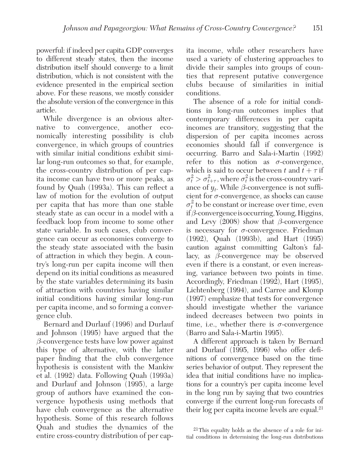powerful: if indeed per capita GDP converges to different steady states, then the income distribution itself should converge to a limit distribution, which is not consistent with the evidence presented in the empirical section above. For these reasons, we mostly consider the absolute version of the convergence in this article.

While divergence is an obvious alternative to convergence, another economically interesting possibility is club convergence, in which groups of countries with similar initial conditions exhibit similar long-run outcomes so that, for example, the cross-country distribution of per capita income can have two or more peaks, as found by Quah (1993a). This can reflect a law of motion for the evolution of output per capita that has more than one stable steady state as can occur in a model with a feedback loop from income to some other state variable. In such cases, club convergence can occur as economies converge to the steady state associated with the basin of attraction in which they begin. A country's long-run per capita income will then depend on its initial conditions as measured by the state variables determining its basin of attraction with countries having similar initial conditions having similar long-run per capita income, and so forming a convergence club.

Bernard and Durlauf (1996) and Durlauf and Johnson (1995) have argued that the  $\beta$ -convergence tests have low power against this type of alternative, with the latter paper finding that the club convergence hypothesis is consistent with the Mankiw et al. (1992) data. Following Quah (1993a) and Durlauf and Johnson (1995), a large group of authors have examined the convergence hypothesis using methods that have club convergence as the alternative hypothesis. Some of this research follows Quah and studies the dynamics of the entire cross-country distribution of per capita income, while other researchers have used a variety of clustering approaches to divide their samples into groups of counties that represent putative convergence clubs because of similarities in initial conditions.

The absence of a role for initial conditions in long-run outcomes implies that contemporary differences in per capita incomes are transitory, suggesting that the dispersion of per capita incomes across economies should fall if convergence is occurring. Barro and Sala-i-Martin (1992) refer to this notion as  $\sigma$ -convergence, which is said to occur between t and  $t + \tau$  if  $\sigma_t^2 > \sigma_{t+\tau}^2$ , where  $\sigma_t^2$  is the cross-country variance of  $y_t$ . While  $\beta$ -convergence is not sufficient for  $\sigma$ -convergence, as shocks can cause  $\sigma_t^2$  to be constant or increase over time, even if  $\beta$ -convergence is occurring, Young, Higgins, and Levy  $(2008)$  show that  $\beta$ -convergence is necessary for  $\sigma$ -convergence. Friedman (1992), Quah (1993b), and Hart (1995) caution against committing Galton's fallacy, as  $β$ -convergence may be observed even if there is a constant, or even increasing, variance between two points in time. Accordingly, Friedman (1992), Hart (1995), Lichtenberg (1994), and Carree and Klomp (1997) emphasize that tests for convergence should investigate whether the variance indeed decreases between two points in time, i.e., whether there is  $\sigma$ -convergence (Barro and Sala-i-Martin 1995).

A different approach is taken by Bernard and Durlauf (1995, 1996) who offer definitions of convergence based on the time series behavior of output. They represent the idea that initial conditions have no implications for a country's per capita income level in the long run by saying that two countries converge if the current long-run forecasts of their  $log$  per capita income levels are equal.<sup>21</sup>

<sup>21</sup> This equality holds as the absence of a role for initial conditions in determining the long-run distributions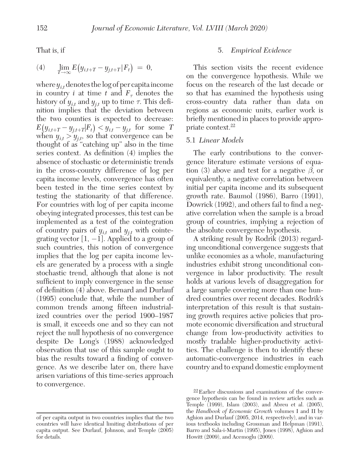That is, if

(4) 
$$
\lim_{T \to \infty} E(y_{i,t+T} - y_{j,t+T} | F_t) = 0,
$$

where  $y_{i,t}$  denotes the log of per capita income in country *i* at time *t* and  $F_\tau$  denotes the history of  $y_{i,t}$  and  $y_{j,t}$  up to time  $\tau$ . This definition implies that the deviation between the two counties is expected to decrease:  $E(y_{i,t+T} - y_{j,t+T} | F_t) \le y_{i,t} - y_{j,t}$  for some T when  $y_{i,t} > y_{j,t}$ , so that convergence can be thought of as "catching up" also in the time series context. As definition (4) implies the absence of stochastic or deterministic trends in the cross-country difference of log per capita income levels, convergence has often been tested in the time series context by testing the stationarity of that difference. For countries with log of per capita income obeying integrated processes, this test can be implemented as a test of the cointegration of country pairs of  $y_{i,t}$  and  $y_{j,t}$  with cointegrating vector  $[1, -1]$ . Applied to a group of such countries, this notion of convergence implies that the log per capita income levels are generated by a process with a single stochastic trend, although that alone is not sufficient to imply convergence in the sense of definition (4) above. Bernard and Durlauf (1995) conclude that, while the number of common trends among fifteen industrialized countries over the period 1900–1987 is small, it exceeds one and so they can not reject the null hypothesis of no convergence despite De Long's (1988) acknowledged observation that use of this sample ought to bias the results toward a finding of convergence. As we describe later on, there have arisen variations of this time-series approach to convergence.

## 5. Empirical Evidence

This section visits the recent evidence on the convergence hypothesis. While we focus on the research of the last decade or so that has examined the hypothesis using cross-country data rather than data on regions as economic units, earlier work is briefly mentioned in places to provide appropriate context.<sup>22</sup>

#### 5.1 Linear Models

The early contributions to the convergence literature estimate versions of equation (3) above and test for a negative  $\beta$ , or equivalently, a negative correlation between initial per capita income and its subsequent growth rate. Baumol (1986), Barro (1991), Dowrick (1992), and others fail to find a negative correlation when the sample is a broad group of countries, implying a rejection of the absolute convergence hypothesis.

A striking result by Rodrik (2013) regarding unconditional convergence suggests that unlike economies as a whole, manufacturing industries exhibit strong unconditional convergence in labor productivity. The result holds at various levels of disaggregation for a large sample covering more than one hundred countries over recent decades. Rodrik's interpretation of this result is that sustaining growth requires active policies that promote economic diversification and structural change from low-productivity activities to mostly tradable higher-productivity activities. The challenge is then to identify these automatic-convergence industries in each country and to expand domestic employment

of per capita output in two countries implies that the two countries will have identical limiting distributions of per capita output. See Durlauf, Johnson, and Temple (2005) for details.

<sup>22</sup> Earlier discussions and examinations of the convergence hypothesis can be found in review articles such as Temple (1999), Islam (2003), and Abreu et al. (2005), the Handbook of Economic Growth volumes I and II by Aghion and Durlauf (2005, 2014, respectively), and in various textbooks including Grossman and Helpman (1991), Barro and Sala-i-Martin (1995), Jones (1998), Aghion and Howitt (2009), and Acemoglu (2009).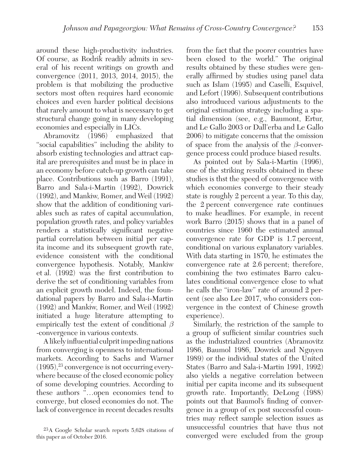around these high-productivity industries. Of course, as Rodrik readily admits in several of his recent writings on growth and convergence (2011, 2013, 2014, 2015), the problem is that mobilizing the productive sectors most often requires hard economic choices and even harder political decisions that rarely amount to what is necessary to get structural change going in many developing economies and especially in LICs.

Abramovitz (1986) emphasized that "social capabilities" including the ability to absorb existing technologies and attract capital are prerequisites and must be in place in an economy before catch-up growth can take place. Contributions such as Barro (1991), Barro and Sala-i-Martin (1992), Dowrick (1992), and Mankiw, Romer, and Weil (1992) show that the addition of conditioning variables such as rates of capital accumulation, population growth rates, and policy variables renders a statistically significant negative partial correlation between initial per capita income and its subsequent growth rate, evidence consistent with the conditional convergence hypothesis. Notably, Mankiw et al. (1992) was the first contribution to derive the set of conditioning variables from an explicit growth model. Indeed, the foundational papers by Barro and Sala-i-Martin (1992) and Mankiw, Romer, and Weil (1992) initiated a huge literature attempting to empirically test the extent of conditional  $\beta$ -convergence in various contexts.

A likely influential culprit impeding nations from converging is openness to international markets. According to Sachs and Warner  $(1995),<sup>23</sup>$  convergence is not occurring everywhere because of the closed economic policy of some developing countries. According to these authors "…open economies tend to converge, but closed economies do not. The lack of convergence in recent decades results

from the fact that the poorer countries have been closed to the world." The original results obtained by these studies were generally affirmed by studies using panel data such as Islam (1995) and Caselli, Esquivel, and Lefort (1996). Subsequent contributions also introduced various adjustments to the original estimation strategy including a spatial dimension (see, e.g., Baumont, Ertur, and Le Gallo 2003 or Dall'erba and Le Gallo 2006) to mitigate concerns that the omission of space from the analysis of the  $\beta$ -convergence process could produce biased results.

As pointed out by Sala-i-Martin (1996), one of the striking results obtained in these studies is thst the speed of convergence with which economies converge to their steady state is roughly 2 percent a year. To this day, the 2 percent convergence rate continues to make headlines. For example, in recent work Barro (2015) shows that in a panel of countries since 1960 the estimated annual convergence rate for GDP is 1.7 percent, conditional on various explanatory variables. With data starting in 1870, he estimates the convergence rate at 2.6 percent; therefore, combining the two estimates Barro calculates conditional convergence close to what he calls the "iron-law" rate of around 2 percent (see also Lee 2017, who considers convergence in the context of Chinese growth experience).

Similarly, the restriction of the sample to a group of sufficient similar countries such as the industrialized countries (Abramovitz 1986, Baumol 1986, Dowrick and Nguyen 1989) or the individual states of the United States (Barro and Sala-i-Martin 1991, 1992) also yields a negative correlation between initial per capita income and its subsequent growth rate. Importantly, DeLong (1988) points out that Baumol's finding of convergence in a group of ex post successful countries may reflect sample selection issues as unsuccessful countries that have thus not converged were excluded from the group

<sup>23</sup> A Google Scholar search reports 5,628 citations of this paper as of October 2016.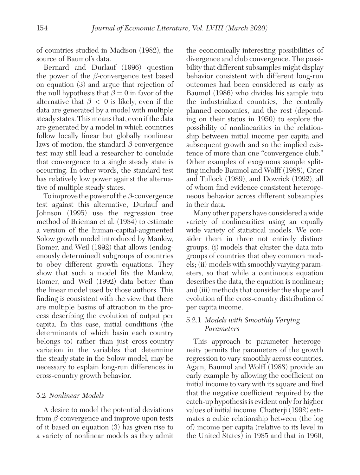of countries studied in Madison (1982), the source of Baumol's data.

Bernard and Durlauf (1996) question the power of the  $\beta$ -convergence test based on equation (3) and argue that rejection of the null hypothesis that  $\beta = 0$  in favor of the alternative that  $\beta < 0$  is likely, even if the data are generated by a model with multiple steady states. This means that, even if the data are generated by a model in which countries follow locally linear but globally nonlinear laws of motion, the standard  $\beta$ -convergence test may still lead a researcher to conclude that convergence to a single steady state is occurring. In other words, the standard test has relatively low power against the alternative of multiple steady states.

To improve the power of the  $\beta$ -convergence test against this alternative, Durlauf and Johnson (1995) use the regression tree method of Brieman et al. (1984) to estimate a version of the human-capital-augmented Solow growth model introduced by Mankiw, Romer, and Weil (1992) that allows (endogenously determined) subgroups of countries to obey different growth equations. They show that such a model fits the Mankiw, Romer, and Weil (1992) data better than the linear model used by those authors. This finding is consistent with the view that there are multiple basins of attraction in the process describing the evolution of output per capita. In this case, initial conditions (the determinants of which basin each country belongs to) rather than just cross-country variation in the variables that determine the steady state in the Solow model, may be necessary to explain long-run differences in cross-country growth behavior.

## 5.2 Nonlinear Models

A desire to model the potential deviations from  $\beta$ -convergence and improve upon tests of it based on equation (3) has given rise to a variety of nonlinear models as they admit the economically interesting possibilities of divergence and club convergence. The possibility that different subsamples might display behavior consistent with different long-run outcomes had been considered as early as Baumol (1986) who divides his sample into the industrialized countries, the centrally planned economies, and the rest (depending on their status in 1950) to explore the possibility of nonlinearities in the relationship between initial income per capita and subsequent growth and so the implied existence of more than one "convergence club." Other examples of exogenous sample splitting include Baumol and Wolff (1988), Grier and Tullock (1989), and Dowrick (1992), all of whom find evidence consistent heterogeneous behavior across different subsamples in their data.

Many other papers have considered a wide variety of nonlinearities using an equally wide variety of statistical models. We consider them in three not entirely distinct groups: (i) models that cluster the data into groups of countries that obey common models; (ii) models with smoothly varying parameters, so that while a continuous equation describes the data, the equation is nonlinear; and (iii) methods that consider the shape and evolution of the cross-country distribution of per capita income.

# 5.2.1 Models with Smoothly Varying Parameters

This approach to parameter heterogeneity permits the parameters of the growth regression to vary smoothly across countries. Again, Baumol and Wolff (1988) provide an early example by allowing the coefficient on initial income to vary with its square and find that the negative coefficient required by the catch-up hypothesis is evident only for higher values of initial income. Chatterji (1992) estimates a cubic relationship between (the log of) income per capita (relative to its level in the United States) in 1985 and that in 1960,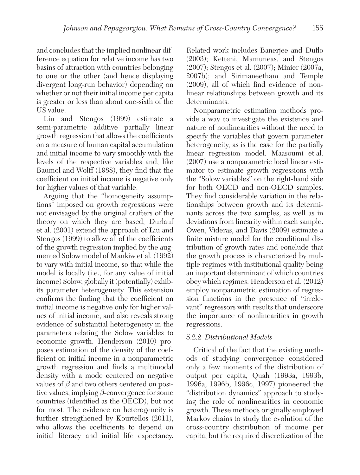and concludes that the implied nonlinear difference equation for relative income has two basins of attraction with countries belonging to one or the other (and hence displaying divergent long-run behavior) depending on whether or not their initial income per capita is greater or less than about one-sixth of the US value.

Liu and Stengos (1999) estimate a semi-parametric additive partially linear growth regression that allows the coefficients on a measure of human capital accumulation and initial income to vary smoothly with the levels of the respective variables and, like Baumol and Wolff (1988), they find that the coefficient on initial income is negative only for higher values of that variable.

Arguing that the "homogeneity assumptions" imposed on growth regressions were not envisaged by the original crafters of the theory on which they are based, Durlauf et al. (2001) extend the approach of Liu and Stengos (1999) to allow all of the coefficients of the growth regression implied by the augmented Solow model of Mankiw et al. (1992) to vary with initial income, so that while the model is locally (i.e., for any value of initial income) Solow, globally it (potentially) exhibits parameter heterogeneity. This extension confirms the finding that the coefficient on initial income is negative only for higher values of initial income, and also reveals strong evidence of substantial heterogeneity in the parameters relating the Solow variables to economic growth. Henderson (2010) proposes estimation of the density of the coefficient on initial income in a nonparametric growth regression and finds a multimodal density with a mode centered on negative values of  $\beta$  and two others centered on positive values, implying  $\beta$ -convergence for some countries (identified as the OECD), but not for most. The evidence on heterogeneity is further strengthened by Kourtellos (2011), who allows the coefficients to depend on initial literacy and initial life expectancy.

Related work includes Banerjee and Duflo (2003); Ketteni, Mamuneas, and Stengos (2007); Stengos et al. (2007); Minier (2007a, 2007b); and Sirimaneetham and Temple (2009), all of which find evidence of nonlinear relationships between growth and its determinants.

Nonparametric estimation methods provide a way to investigate the existence and nature of nonlinearities without the need to specify the variables that govern parameter heterogeneity, as is the case for the partially linear regression model. Maasoumi et al. (2007) use a nonparametric local linear estimator to estimate growth regressions with the "Solow variables" on the right-hand side for both OECD and non-OECD samples. They find considerable variation in the relationships between growth and its determinants across the two samples, as well as in deviations from linearity within each sample. Owen, Videras, and Davis (2009) estimate a finite mixture model for the conditional distribution of growth rates and conclude that the growth process is characterized by multiple regimes with institutional quality being an important determinant of which countries obey which regimes. Henderson et al. (2012) employ nonparametric estimation of regression functions in the presence of "irrelevant" regressors with results that underscore the importance of nonlinearities in growth regressions.

# 5.2.2 Distributional Models

Critical of the fact that the existing methods of studying convergence considered only a few moments of the distribution of output per capita, Quah (1993a, 1993b, 1996a, 1996b, 1996c, 1997) pioneered the "distribution dynamics" approach to studying the role of nonlinearities in economic growth. These methods originally employed Markov chains to study the evolution of the cross-country distribution of income per capita, but the required discretization of the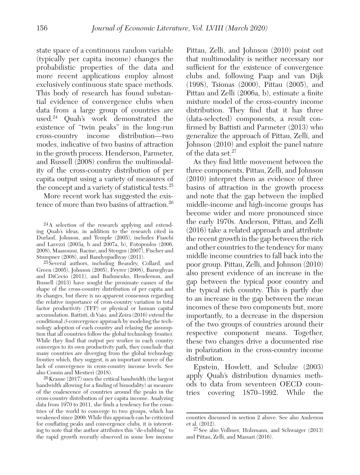state space of a continuous random variable (typically per capita income) changes the probabilistic properties of the data and more recent applications employ almost exclusively continuous state space methods. This body of research has found substantial evidence of convergence clubs when data from a large group of countries are used.<sup>24</sup> Quah's work demonstrated the existence of "twin peaks" in the long-run cross-country income distribution—two modes, indicative of two basins of attraction in the growth process. Henderson, Parmeter, and Russell (2008) confirm the multimodality of the cross-country distribution of per capita output using a variety of measures of the concept and a variety of statistical tests.<sup>25</sup>

More recent work has suggested the existence of more than two basins of attraction.<sup>26</sup>

25 Several authors, including Beaudry, Collard, and Green (2005), Johnson (2005), Feyrer (2008), Barseghyan and DiCecio (2011), and Badunenko, Henderson, and Russell (2013) have sought the proximate causes of the shape of the cross-country distribution of per capita and its changes, but there is no apparent consensus regarding the relative importance of cross-country variation in total factor productivity (TFP) or physical or human capital accumulation. Battisti, di Vaio, and Zeira (2016) extend the conditional  $\beta$ -convergence approach by modeling the technology adoption of each country and relaxing the assumption that all countries follow the global technology frontier. While they find that output per worker in each country converges to its own productivity path, they conclude that many countries are diverging from the global technology frontier which, they suggest, is an important source of the lack of convergence in cross-country income levels. See also Comin and Mestieri (2018).

26 Krause (2017) uses the critical bandwidth (the largest bandwidth allowing for a finding of bimodality) as measure of the coalescence of countries around the peaks in the cross-country distribution of per capita income. Analyzing data from 1970 to 2011, she finds a tendency for the countries of the world to converge to two groups, which has weakened since 2000. While this approach can be criticized for conflating peaks and convergence clubs, it is interesting to note that the author attributes this " de-clubbing" to the rapid growth recently observed in some low income

Pittau, Zelli, and Johnson (2010) point out that multimodality is neither necessary nor sufficient for the existence of convergence clubs and, following Paap and van Dijk (1998), Tsionas (2000), Pittau (2005), and Pittau and Zelli (2006a, b), estimate a finite mixture model of the cross-country income distribution. They find that it has three ( data-selected) components, a result confirmed by Battisti and Parmeter (2013) who generalize the approach of Pittau, Zelli, and Johnson (2010) and exploit the panel nature of the data set.<sup>27</sup>

As they find little movement between the three components, Pittau, Zelli, and Johnson (2010) interpret them as evidence of three basins of attraction in the growth process and note that the gap between the implied middle-income and high-income groups has become wider and more pronounced since the early 1970s. Anderson, Pittau, and Zelli (2016) take a related approach and attribute the recent growth in the gap between the rich and other countries to the tendency for many middle income countries to fall back into the poor group. Pittau, Zelli, and Johnson (2010) also present evidence of an increase in the gap between the typical poor country and the typical rich country. This is partly due to an increase in the gap between the mean incomes of these two components but, more importantly, to a decrease in the dispersion of the two groups of countries around their respective component means. Together, these two changes drive a documented rise in polarization in the cross-country income distribution.

Epstein, Howlett, and Schulze (2003) apply Quah's distribution dynamics methods to data from seventeen OECD countries covering 1870–1992. While the

<sup>24</sup> A selection of the research applying and extending Quah's ideas, in addition to the research cited in Durlauf, Johnson, and Temple (2005), includes Fiaschi and Lavezzi (2003a, b and 2007a, b), Fotopoulos (2006, 2008), Maasoumi, Racine, and Stengos (2007), Fischer and Stumpner (2008), and Bandyopadhyay (2011).

counties discussed in section 2 above. See also Anderson et al. (2012).

<sup>27</sup> See also Vollmer, Holzmann, and Schwaiger (2013) and Pittau, Zelli, and Massari (2016).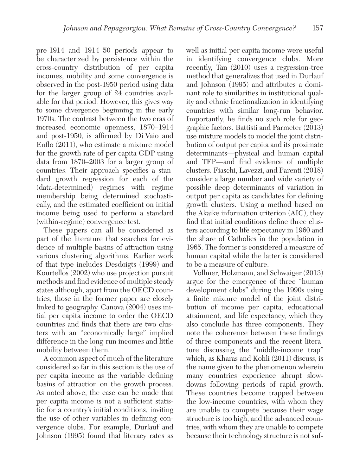pre-1914 and 1914–50 periods appear to be characterized by persistence within the cross-country distribution of per capita incomes, mobility and some convergence is observed in the post-1950 period using data for the larger group of 24 countries available for that period. However, this gives way to some divergence beginning in the early 1970s. The contrast between the two eras of increased economic openness, 1870–1914 and post-1950, is affirmed by Di Vaio and Enflo (2011), who estimate a mixture model for the growth rate of per capita GDP using data from 1870–2003 for a larger group of countries. Their approach specifies a standard growth regression for each of the ( data-determined) regimes with regime membership being determined stochastically, and the estimated coefficient on initial income being used to perform a standard (within-regime) convergence test.

These papers can all be considered as part of the literature that searches for evidence of multiple basins of attraction using various clustering algorithms. Earlier work of that type includes Desdoigts (1999) and Kourtellos (2002) who use projection pursuit methods and find evidence of multiple steady states although, apart from the OECD countries, those in the former paper are closely linked to geography. Canova (2004) uses initial per capita income to order the OECD countries and finds that there are two clusters with an "economically large" implied difference in the long-run incomes and little mobility between them.

A common aspect of much of the literature considered so far in this section is the use of per capita income as the variable defining basins of attraction on the growth process. As noted above, the case can be made that per capita income is not a sufficient statistic for a country's initial conditions, inviting the use of other variables in defining convergence clubs. For example, Durlauf and Johnson (1995) found that literacy rates as well as initial per capita income were useful in identifying convergence clubs. More recently, Tan (2010) uses a regression-tree method that generalizes that used in Durlauf and Johnson (1995) and attributes a dominant role to similarities in institutional quality and ethnic fractionalization in identifying countries with similar long-run behavior. Importantly, he finds no such role for geographic factors. Battisti and Parmeter (2013) use mixture models to model the joint distribution of output per capita and its proximate determinants—physical and human capital and TFP—and find evidence of multiple clusters. Fiaschi, Lavezzi, and Parenti (2018) consider a large number and wide variety of possible deep determinants of variation in output per capita as candidates for defining growth clusters. Using a method based on the Akaike information criterion (AIC), they find that initial conditions define three clusters according to life expectancy in 1960 and the share of Catholics in the population in 1965. The former is considered a measure of human capital while the latter is considered to be a measure of culture.

Vollmer, Holzmann, and Schwaiger (2013) argue for the emergence of three "human development clubs" during the 1990s using a finite mixture model of the joint distribution of income per capita, educational attainment, and life expectancy, which they also conclude has three components. They note the coherence between these findings of three components and the recent literature discussing the "middle-income trap" which, as Kharas and Kohli (2011) discuss, is the name given to the phenomenon wherein many countries experience abrupt slowdowns following periods of rapid growth. These countries become trapped between the low-income countries, with whom they are unable to compete because their wage structure is too high, and the advanced countries, with whom they are unable to compete because their technology structure is not suf-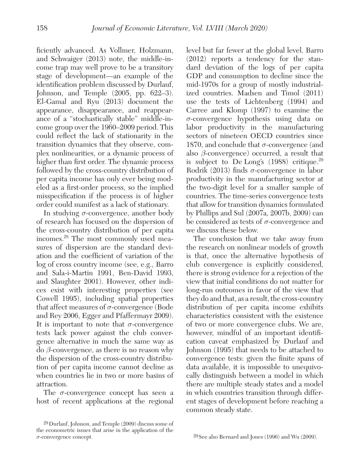ficiently advanced. As Vollmer, Holzmann, and Schwaiger (2013) note, the middle-income trap may well prove to be a transitory stage of development—an example of the identification problem discussed by Durlauf, Johnson, and Temple (2005, pp. 622–3). El-Gamal and Ryu (2013) document the appearance, disappearance, and reappearance of a "stochastically stable" middle-income group over the 1960–2009 period. This could reflect the lack of stationarity in the transition dynamics that they observe, complex nonlinearities, or a dynamic process of higher than first order. The dynamic process followed by the cross-country distribution of per capita income has only ever being modeled as a first-order process, so the implied misspecification if the process is of higher order could manifest as a lack of stationary.

In studying  $\sigma$ -convergence, another body of research has focused on the dispersion of the cross-country distribution of per capita incomes.<sup>28</sup> The most commonly used measures of dispersion are the standard deviation and the coefficient of variation of the log of cross country income (see, e.g., Barro and Sala-i-Martin 1991, Ben-David 1993, and Slaughter 2001). However, other indices exist with interesting properties (see Cowell 1995), including spatial properties that affect measures of  $\sigma$ -convergence (Bode and Rey 2006, Egger and Pfaffermayr 2009). It is important to note that  $\sigma$ -convergence tests lack power against the club convergence alternative in much the same way as  $\phi$  -convergence, as there is no reason why the dispersion of the cross-country distribution of per capita income cannot decline as when countries lie in two or more basins of attraction.

The  $\sigma$ -convergence concept has seen a host of recent applications at the regional level but far fewer at the global level. Barro (2012) reports a tendency for the standard deviation of the logs of per capita GDP and consumption to decline since the mid-1970s for a group of mostly industrialized countries. Madsen and Timol (2011) use the tests of Lichtenberg (1994) and Carree and Klomp (1997) to examine the σ-convergence hypothesis using data on labor productivity in the manufacturing sectors of nineteen OECD countries since 1870, and conclude that  $\sigma$ -convergence (and also  $\beta$ -convergence) occurred, a result that is subject to De Long's  $(1988)$  critique.<sup>29</sup> Rodrik (2013) finds  $\sigma$ -convergence in labor productivity in the manufacturing sector at the two-digit level for a smaller sample of countries. The time-series convergence tests that allow for transition dynamics formulated by Phillips and Sul (2007a, 2007b, 2009) can be considered as tests of  $\sigma$ -convergence and we discuss these below.

The conclusion that we take away from the research on nonlinear models of growth is that, once the alternative hypothesis of club convergence is explicitly considered, there is strong evidence for a rejection of the view that initial conditions do not matter for long-run outcomes in favor of the view that they do and that, as a result, the cross-country distribution of per capita income exhibits characteristics consistent with the existence of two or more convergence clubs. We are, however, mindful of an important identification caveat emphasized by Durlauf and Johnson (1995) that needs to be attached to convergence tests: given the finite spans of data available, it is impossible to unequivocally distinguish between a model in which there are multiple steady states and a model in which countries transition through different stages of development before reaching a common steady state.

<sup>28</sup> Durlauf, Johnson, and Temple (2009) discuss some of the econometric issues that arise in the application of the σ-convergence concept.

<sup>29</sup> See also Bernard and Jones (1996) and Wu (2009).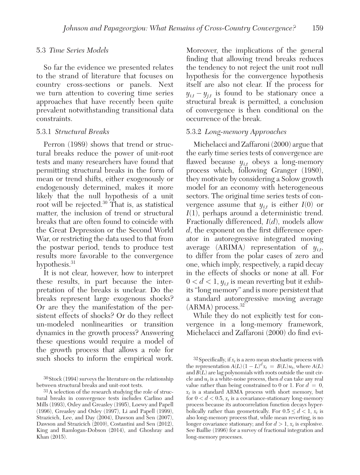#### 5.3 Time Series Models

So far the evidence we presented relates to the strand of literature that focuses on country cross-sections or panels. Next we turn attention to covering time series approaches that have recently been quite prevalent notwithstanding transitional data constraints.

#### 5.3.1 Structural Breaks

Perron (1989) shows that trend or structural breaks reduce the power of unit-root tests and many researchers have found that permitting structural breaks in the form of mean or trend shifts, either exogenously or endogenously determined, makes it more likely that the null hypothesis of a unit root will be rejected.<sup>30</sup> That is, as statistical matter, the inclusion of trend or structural breaks that are often found to coincide with the Great Depression or the Second World War, or restricting the data used to that from the postwar period, tends to produce test results more favorable to the convergence hypothesis.<sup>31</sup>

It is not clear, however, how to interpret these results, in part because the interpretation of the breaks is unclear. Do the breaks represent large exogenous shocks? Or are they the manifestation of the persistent effects of shocks? Or do they reflect un-modeled nonlinearities or transition dynamics in the growth process? Answering these questions would require a model of the growth process that allows a role for such shocks to inform the empirical work.

Moreover, the implications of the general finding that allowing trend breaks reduces the tendency to not reject the unit root null hypothesis for the convergence hypothesis itself are also not clear. If the process for  $y_{i,t} - y_{j,t}$  is found to be stationary once a structural break is permitted, a conclusion of convergence is then conditional on the occurrence of the break.

# 5.3.2 Long-memory Approaches

Michelacci and Zaffaroni (2000) argue that the early time series tests of convergence are flawed because  $y_{i,t}$  obeys a long-memory process which, following Granger (1980), they motivate by considering a Solow growth model for an economy with heterogeneous sectors. The original time series tests of convergence assume that  $y_{i,t}$  is either  $I(0)$  or  $I(1)$ , perhaps around a deterministic trend. Fractionally differenced,  $I(d)$ , models allow d, the exponent on the first difference operator in autoregressive integrated moving average (ARIMA) representation of  $y_{i,t}$ , to differ from the polar cases of zero and one, which imply, respectively, a rapid decay in the effects of shocks or none at all. For  $0 < d < 1$ ,  $y_{i,t}$  is mean reverting but it exhibits "long memory" and is more persistent that a standard autoregressive moving average  $(ARMA)$  process.<sup>32</sup>

While they do not explicitly test for convergence in a long-memory framework, Michelacci and Zaffaroni (2000) do find evi-

<sup>30</sup> Stock (1994) surveys the literature on the relationship between structural breaks and unit-root tests.

<sup>31</sup> A selection of the research studying the role of structural breaks in convergence tests includes Carlino and Mills (1993), Oxley and Greasley (1995), Loewy and Papell (1996), Greasley and Oxley (1997), Li and Papell (1999), Strazicich, Lee, and Day (2004), Dawson and Sen (2007), Dawson and Strazicich (2010), Costantini and Sen (2012), King and Ramlogan-Dobson (2014), and Ghoshray and Khan (2015).

<sup>&</sup>lt;sup>32</sup> Specifically, if  $x_t$  is a zero mean stochastic process with the representation  $A(L) (1 - L)^d x_t = B(L) u_t$ , where  $A(L)$ and  $B(L)$  are lag polynomials with roots outside the unit circle and  $u_t$  is a white-noise process, then  $d$  can take any real value rather than being constrained to 0 or 1. For  $d = 0$ ,  $x_t$  is a standard ARMA process with short memory, but for  $0 < d < 0.5$ ,  $x_t$  is a covariance-stationary long-memory process because its autocorrelation function decays hyperbolically rather than geometrically. For  $0.5 \le d < 1$ ,  $x_t$  is also long-memory process that, while mean reverting, is no longer covariance stationary; and for  $d > 1$ ,  $x_t$  is explosive. See Baillie (1996) for a survey of fractional integration and long-memory processes.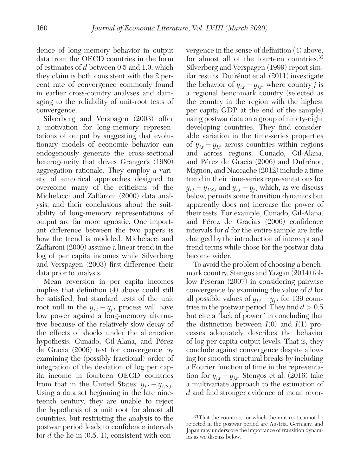dence of long-memory behavior in output data from the OECD countries in the form of estimates of d between 0.5 and 1.0, which they claim is both consistent with the 2 percent rate of convergence commonly found in earlier cross-country analyses and damaging to the reliability of unit-root tests of convergence.

Silverberg and Verspagen (2003) offer a motivation for long-memory representations of output by suggesting that evolutionary models of economic behavior can endogenously generate the cross-sectional heterogeneity that drives Granger's (1980) aggregation rationale. They employ a variety of empirical approaches designed to overcome many of the criticisms of the Michelacci and Zaffaroni (2000) data analysis, and their conclusions about the suitability of long-memory representations of output are far more agnostic. One important difference between the two papers is how the trend is modeled. Michelacci and Zaffaroni (2000) assume a linear trend in the log of per capita incomes while Silverberg and Verspagen (2003) first-difference their data prior to analysis.

Mean reversion in per capita incomes implies that definition (4) above could still be satisfied, but standard tests of the unit root null in the  $y_{i,t} - y_{j,t}$  process will have low power against a long-memory alternative because of the relatively slow decay of the effects of shocks under the alternative hypothesis. Cunado, Gil-Alana, and Pérez de Gracia (2006) test for convergence by examining the (possibly fractional) order of integration of the deviation of log per capita income in fourteen OECD countries from that in the United States:  $y_{i,t} - y_{US,t}$ . Using a data set beginning in the late nineteenth century, they are unable to reject the hypothesis of a unit root for almost all countries, but restricting the analysis to the postwar period leads to confidence intervals for  $d$  the lie in  $(0.5, 1)$ , consistent with convergence in the sense of definition (4) above, for almost all of the fourteen countries.<sup>33</sup> Silverberg and Verspagen (1999) report similar results. Dufrénot et al. (2011) investigate the behavior of  $y_{i,t} - y_{j,t}$ , where country *j* is a regional benchmark country (selected as the country in the region with the highest per capita GDP at the end of the sample) using postwar data on a group of ninety-eight developing countries. They find considerable variation in the time-series properties of  $y_{i,t} - y_{j,t}$  across countries within regions and across regions. Cunado, Gil-Alana, and Pérez de Gracia (2006) and Dufrénot, Mignon, and Naccache (2012) include a time trend in their time-series representations for  $y_{i,t} - y_{US,t}$  and  $y_{i,t} - y_{j,t}$  which, as we discuss below, permits some transition dynamics but apparently does not increase the power of their tests. For example, Cunado, Gil-Alana, and Pérez de Gracia's (2006) confidence intervals for  $d$  for the entire sample are little changed by the introduction of intercept and trend terms while those for the postwar data become wider.

To avoid the problem of choosing a benchmark country, Stengos and Yazgan (2014) follow Peseran (2007) in considering pairwise convergence by examining the value of d for all possible values of  $y_{i,t} - y_{j,t}$  for 139 countries in the postwar period. They find  $d > 0.5$ but cite a "lack of power" in concluding that the distinction between  $I(0)$  and  $I(1)$  processes adequately describes the behavior of log per capita output levels. That is, they conclude against convergence despite allowing for smooth structural breaks by including a Fourier function of time in the representation for  $y_{i,t} - y_{j,t}$ . Stengos et al. (2016) take a multivariate approach to the estimation of d and find stronger evidence of mean rever-

<sup>33</sup> That the countries for which the unit root cannot be rejected in the postwar period are Austria, Germany, and Japan may underscore the importance of transition dynamics as we discuss below.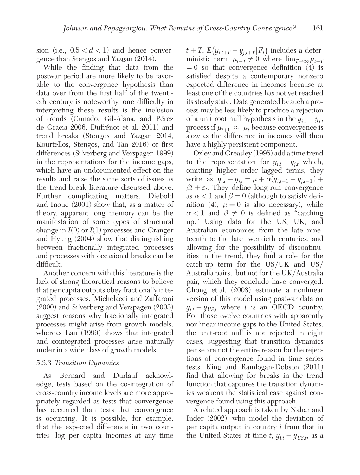sion (i.e.,  $0.5 < d < 1$ ) and hence convergence than Stengos and Yazgan (2014).

While the finding that data from the postwar period are more likely to be favorable to the convergence hypothesis than data over from the first half of the twentieth century is noteworthy, one difficulty in interpreting these results is the inclusion of trends (Cunado, Gil-Alana, and Pérez de Gracia 2006, Dufrénot et al. 2011) and trend breaks (Stengos and Yazgan 2014, Kourtellos, Stengos, and Tan 2016) or first differences (Silverberg and Verspagen 1999) in the representations for the income gaps, which have an undocumented effect on the results and raise the same sorts of issues as the trend-break literature discussed above. Further complicating matters, Diebold and Inoue (2001) show that, as a matter of theory, apparent long memory can be the manifestation of some types of structural change in  $I(0)$  or  $I(1)$  processes and Granger and Hyung (2004) show that distinguishing between fractionally integrated processes and processes with occasional breaks can be difficult.

Another concern with this literature is the lack of strong theoretical reasons to believe that per capita outputs obey fractionally integrated processes. Michelacci and Zaffaroni (2000) and Silverberg and Verspagen (2003) suggest reasons why fractionally integrated processes might arise from growth models, whereas Lau (1999) shows that integrated and cointegrated processes arise naturally under in a wide class of growth models.

# 5.3.3 Transition Dynamics

As Bernard and Durlauf acknowledge, tests based on the co-integration of cross-country income levels are more appropriately regarded as tests that convergence has occurred than tests that convergence is occurring. It is possible, for example, that the expected difference in two countries' log per capita incomes at any time

 $t+T$ ,  $E(y_{i,t+T}-y_{j,t+T}|F_t)$  includes a deterministic term  $\mu_{t+T} \neq 0$  where  $\lim_{T \to \infty} \mu_{t+T}$  $= 0$  so that convergence definition  $(4)$  is satisfied despite a contemporary nonzero expected difference in incomes because at least one of the countries has not yet reached its steady state. Data generated by such a process may be less likely to produce a rejection of a unit root null hypothesis in the  $y_{i,t} - y_{j,t}$ process if  $\mu_{t+1} \approx \mu_t$  because convergence is slow as the difference in incomes will then have a highly persistent component.

Oxley and Greasley (1995) add a time trend to the representation for  $y_{i,t} - y_{j,t}$  which, omitting higher order lagged terms, they write as  $y_{i,t} - y_{j,t} = \mu + \alpha (y_{i,t-1} - y_{j,t-1}) +$  $\beta t + \varepsilon_t$ . They define long-run convergence as  $\alpha < 1$  and  $\beta = 0$  (although to satisfy definition (4),  $\mu = 0$  is also necessary), while  $\alpha$  < 1 and  $\beta \neq 0$  is defined as "catching" up." Using data for the US, UK, and Australian economies from the late nineteenth to the late twentieth centuries, and allowing for the possibility of discontinuities in the trend, they find a role for the catch-up term for the US/UK and US/ Australia pairs,. but not for the UK/Australia pair, which they conclude have converged. Chong et al. (2008) estimate a nonlinear version of this model using postwar data on  $y_{i,t} - y_{US,t}$  where *i* is an OECD country. For those twelve countries with apparently nonlinear income gaps to the United States, the unit-root null is not rejected in eight cases, suggesting that transition dynamics per se are not the entire reason for the rejections of convergence found in time series tests. King and Ramlogan-Dobson (2011) find that allowing for breaks in the trend function that captures the transition dynamics weakens the statistical case against convergence found using this approach.

A related approach is taken by Nahar and Inder (2002), who model the deviation of per capita output in country i from that in the United States at time  $t, y_{i,t} - y_{US,t}$ , as a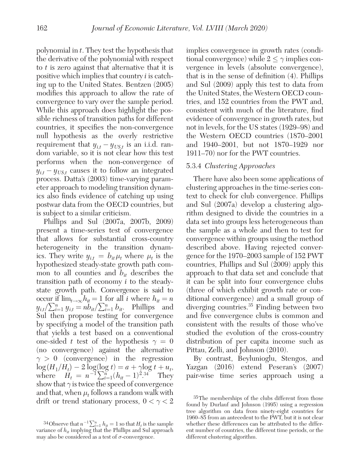polynomial in  $t$ . They test the hypothesis that the derivative of the polynomial with respect to t is zero against that alternative that it is positive which implies that country i is catching up to the United States. Bentzen (2005) modifies this approach to allow the rate of convergence to vary over the sample period. While this approach does highlight the possible richness of transition paths for different countries, it specifies the non-convergence null hypothesis as the overly restrictive requirement that  $y_{i,t} - y_{US,t}$  is an i.i.d. random variable, so it is not clear how this test performs when the non-convergence of  $y_{i,t} - y_{US,t}$  causes it to follow an integrated process. Datta's (2003) time-varying parameter approach to modeling transition dynamics also finds evidence of catching up using postwar data from the OECD countries, but is subject to a similar criticism.

Phillips and Sul (2007a, 2007b, 2009) present a time-series test of convergence that allows for substantial cross-country heterogeneity in the transition dynamics. They write  $y_{i,t} = b_{it} \mu_t$  where  $\mu_t$  is the hypothesized steady-state growth path common to all counties and  $b_{it}$  describes the transition path of economy i to the steadystate growth path. Convergence is said to occur if  $\lim_{t\to\infty} h_{it} = 1$  for all i where  $h_{it} = n$  $y_{i,t}/\sum_{i=1}^n y_{i,t} = n\overline{b}_{it}/\sum_{i=1}^n b_{it}$ . Phillips and Sul then propose testing for convergence by specifying a model of the transition path that yields a test based on a conventional one-sided t test of the hypothesis  $\gamma = 0$ (no convergence) against the alternative  $\gamma > 0$  (convergence) in the regression  $\log(H_1/H_t) - 2\log(\log t) = a + \gamma \log t + u_t,$ where  $H_t = n^{-1} \sum_{i=1}^{n} (h_{it} - 1)^{2 \cdot 34}$  They show that  $\gamma$  is twice the speed of convergence and that, when  $\mu_t$  follows a random walk with drift or trend stationary process,  $0 < \gamma < 2$ 

implies convergence in growth rates (conditional convergence) while  $2 \leq \gamma$  implies convergence in levels (absolute convergence), that is in the sense of definition (4). Phillips and Sul (2009) apply this test to data from the United States, the Western OECD countries, and 152 countries from the PWT and, consistent with much of the literature, find evidence of convergence in growth rates, but not in levels, for the US states ( 1929–98) and the Western OECD countries ( 1870–2001 and 1940–2001, but not 1870–1929 nor 1911–70) nor for the PWT countries.

# 5.3.4 Clustering Approaches

There have also been some applications of clustering approaches in the time-series context to check for club convergence. Phillips and Sul (2007a) develop a clustering algorithm designed to divide the countries in a data set into groups less heterogeneous than the sample as a whole and then to test for convergence within groups using the method described above. Having rejected convergence for the 1970–2003 sample of 152 PWT countries, Phillips and Sul (2009) apply this approach to that data set and conclude that it can be split into four convergence clubs (three of which exhibit growth rate or conditional convergence) and a small group of diverging countries.<sup>35</sup> Finding between two and five convergence clubs is common and consistent with the results of those who've studied the evolution of the cross-country distribution of per capita income such as Pittau, Zelli, and Johnson (2010).

By contrast, Beylunioglu, Stengos, and Yazgan (2016) extend Peseran's (2007) pair-wise time series approach using a

<sup>&</sup>lt;sup>34</sup>Observe that  $n^{-1} \sum_{i=1}^{n} h_{it} = 1$  so that  $H_t$  is the sample variance of  $h_{it}$  implying that the Phillips and Sul approach may also be considered as a test of  $\sigma$ -convergence.

<sup>35</sup> The memberships of the clubs different from those found by Durlauf and Johnson (1995) using a regression tree algorithm on data from ninety-eight countries for 1960–85 from an antecedent to the PWT, but it is not clear whether these differences can be attributed to the different number of countries, the different time periods, or the different clustering algorithm.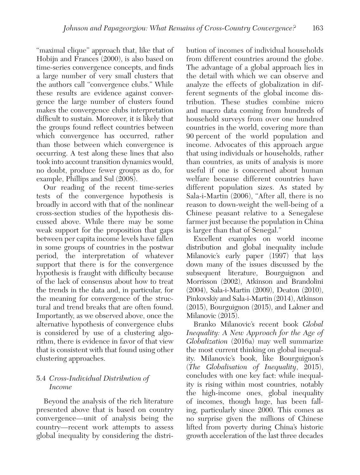"maximal clique" approach that, like that of Hobijn and Frances (2000), is also based on time-series convergence concepts, and finds a large number of very small clusters that the authors call "convergence clubs." While these results are evidence against convergence the large number of clusters found makes the convergence clubs interpretation difficult to sustain. Moreover, it is likely that the groups found reflect countries between which convergence has occurred, rather than those between which convergence is occurring. A test along these lines that also took into account transition dynamics would, no doubt, produce fewer groups as do, for example, Phillips and Sul (2008).

Our reading of the recent time-series tests of the convergence hypothesis is broadly in accord with that of the nonlinear cross-section studies of the hypothesis discussed above. While there may be some weak support for the proposition that gaps between per capita income levels have fallen in some groups of countries in the postwar period, the interpretation of whatever support that there is for the convergence hypothesis is fraught with difficulty because of the lack of consensus about how to treat the trends in the data and, in particular, for the meaning for convergence of the structural and trend breaks that are often found. Importantly, as we observed above, once the alternative hypothesis of convergence clubs is considered by use of a clustering algorithm, there is evidence in favor of that view that is consistent with that found using other clustering approaches.

# 5.4 Cross-Individual Distribution of Income

Beyond the analysis of the rich literature presented above that is based on country convergence—unit of analysis being the country—recent work attempts to assess global inequality by considering the distribution of incomes of individual households from different countries around the globe. The advantage of a global approach lies in the detail with which we can observe and analyze the effects of globalization in different segments of the global income distribution. These studies combine micro and macro data coming from hundreds of household surveys from over one hundred countries in the world, covering more than 90 percent of the world population and income. Advocates of this approach argue that using individuals or households, rather than countries, as units of analysis is more useful if one is concerned about human welfare because different countries have different population sizes. As stated by Sala-i-Martin (2006), "After all, there is no reason to down-weight the well-being of a Chinese peasant relative to a Senegalese farmer just because the population in China is larger than that of Senegal."

Excellent examples on world income distribution and global inequality include Milanovic's early paper (1997) that lays down many of the issues discussed by the subsequent literature, Bourguignon and Morrisson (2002), Atkinson and Brandolini (2004), Sala-i-Martin (2009), Deaton (2010), Pinkovskiy and Sala-i-Martin (2014), Atkinson (2015), Bourguignon (2015), and Lakner and Milanovic (2015).

Branko Milanovic's recent book Global Inequality: A New Approach for the Age of Globalization (2016a) may well summarize the most current thinking on global inequality. Milanovic's book, like Bourguignon's (The Globalisation of Inequality, 2015), concludes with one key fact: while inequality is rising within most countries, notably the high-income ones, global inequality of incomes, though huge, has been falling, particularly since 2000. This comes as no surprise given the millions of Chinese lifted from poverty during China's historic growth acceleration of the last three decades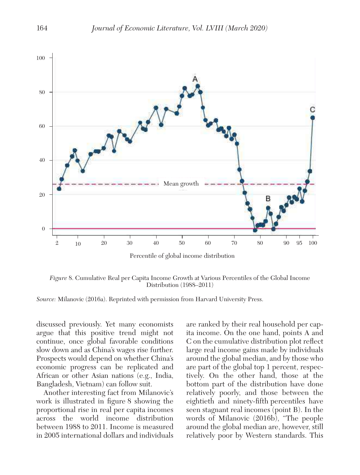

Percentile of global income distribution

Figure 8. Cumulative Real per Capita Income Growth at Various Percentiles of the Global Income Distribution (1988–2011)

Source: Milanovic (2016a). Reprinted with permission from Harvard University Press.

 discussed previously. Yet many economists argue that this positive trend might not continue, once global favorable conditions slow down and as China's wages rise further. Prospects would depend on whether China's economic progress can be replicated and African or other Asian nations (e.g., India, Bangladesh, Vietnam) can follow suit.

Another interesting fact from Milanovic's work is illustrated in figure 8 showing the proportional rise in real per capita incomes across the world income distribution between 1988 to 2011. Income is measured in 2005 international dollars and individuals are ranked by their real household per capita income. On the one hand, points A and C on the cumulative distribution plot reflect large real income gains made by individuals around the global median, and by those who are part of the global top 1 percent, respectively. On the other hand, those at the bottom part of the distribution have done relatively poorly, and those between the eightieth and ninety-fifth percentiles have seen stagnant real incomes (point B). In the words of Milanovic (2016b), "The people around the global median are, however, still relatively poor by Western standards. This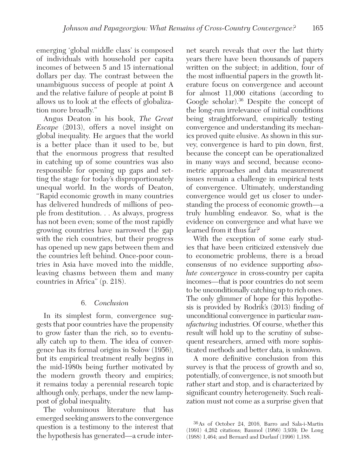emerging 'global middle class' is composed of individuals with household per capita incomes of between 5 and 15 international dollars per day. The contrast between the unambiguous success of people at point A and the relative failure of people at point B allows us to look at the effects of globalization more broadly."

Angus Deaton in his book, The Great Escape (2013), offers a novel insight on global inequality. He argues that the world is a better place than it used to be, but that the enormous progress that resulted in catching up of some countries was also responsible for opening up gaps and setting the stage for today's disproportionately unequal world. In the words of Deaton, "Rapid economic growth in many countries has delivered hundreds of millions of people from destitution. . . As always, progress has not been even; some of the most rapidly growing countries have narrowed the gap with the rich countries, but their progress has opened up new gaps between them and the countries left behind. Once-poor countries in Asia have moved into the middle, leaving chasms between them and many countries in Africa" (p. 218).

# 6. Conclusion

In its simplest form, convergence suggests that poor countries have the propensity to grow faster than the rich, so to eventually catch up to them. The idea of convergence has its formal origins in Solow (1956), but its empirical treatment really begins in the mid-1980s being further motivated by the modern growth theory and empirics; it remains today a perennial research topic although only, perhaps, under the new lamppost of global inequality.

The voluminous literature that has emerged seeking answers to the convergence question is a testimony to the interest that the hypothesis has generated—a crude internet search reveals that over the last thirty years there have been thousands of papers written on the subject; in addition, four of the most influential papers in the growth literature focus on convergence and account for almost 11,000 citations (according to Google scholar).<sup>36</sup> Despite the concept of the long-run irrelevance of initial conditions being straightforward, empirically testing convergence and understanding its mechanics proved quite elusive. As shown in this survey, convergence is hard to pin down, first, because the concept can be operationalized in many ways and second, because econometric approaches and data measurement issues remain a challenge in empirical tests of convergence. Ultimately, understanding convergence would get us closer to understanding the process of economic growth—a truly humbling endeavor. So, what is the evidence on convergence and what have we learned from it thus far?

With the exception of some early studies that have been criticized extensively due to econometric problems, there is a broad consensus of no evidence supporting absolute convergence in cross-country per capita incomes—that is poor countries do not seem to be unconditionally catching up to rich ones. The only glimmer of hope for this hypothesis is provided by Rodrik's (2013) finding of unconditional convergence in particular manufacturing industries. Of course, whether this result will hold up to the scrutiny of subsequent researchers, armed with more sophisticated methods and better data, is unknown.

A more definitive conclusion from this survey is that the process of growth and so, potentially, of convergence, is not smooth but rather start and stop, and is characterized by significant country heterogeneity. Such realization must not come as a surprise given that

<sup>36</sup> As of October 24, 2016, Barro and Sala-i-Martin (1991) 4,262 citations; Baumol (1986) 3,939; De Long (1988) 1,464; and Bernard and Durlauf (1996) 1,188.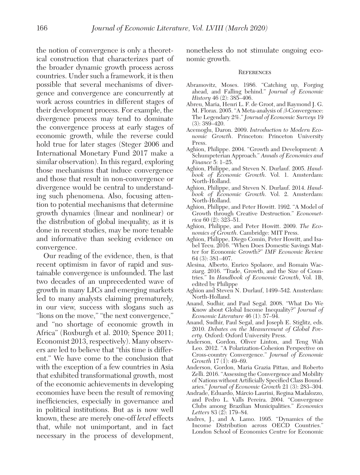the notion of convergence is only a theoretical construction that characterizes part of the broader dynamic growth process across countries. Under such a framework, it is then possible that several mechanisms of divergence and convergence are concurrently at work across countries in different stages of their development process. For example, the divergence process may tend to dominate the convergence process at early stages of economic growth, while the reverse could hold true for later stages (Steger 2006 and International Monetary Fund 2017 make a similar observation). In this regard, exploring those mechanisms that induce convergence and those that result in non-convergence or divergence would be central to understanding such phenomena. Also, focusing attention to potential mechanisms that determine growth dynamics (linear and nonlinear) or the distribution of global inequality, as it is done in recent studies, may be more tenable and informative than seeking evidence on convergence.

Our reading of the evidence, then, is that recent optimism in favor of rapid and sustainable convergence is unfounded. The last two decades of an unprecedented wave of growth in many LICs and emerging markets led to many analysts claiming prematurely, in our view, success with slogans such as "lions on the move," "the next convergence," and "no shortage of economic growth in Africa" (Roxburgh et al. 2010; Spence 2011; Economist 2013, respectively). Many observers are led to believe that "this time is different." We have come to the conclusion that with the exception of a few countries in Asia that exhibited transformational growth, most of the economic achievements in developing economies have been the result of removing inefficiencies, especially in governance and in political institutions. But as is now well known, these are merely one-off level effects that, while not unimportant, and in fact necessary in the process of development,

 nonetheless do not stimulate ongoing economic growth.

#### **REFERENCES**

- Abramovitz, Moses. 1986. "Catching up, Forging ahead, and Falling behind." Journal of Economic History 46 (2): 385–406.
- Abreu, Maria, Henri L. F. de Groot, and Raymond J. G. M. Florax. 2005. "A Meta-analysis of β-Convergence: The Legendary 2%." Journal of Economic Surveys 19 (3): 389–420.
- Acemoglu, Daron. 2009. Introduction to Modern Economic Growth. Princeton: Princeton University Press.
- Aghion, Philippe. 2004. "Growth and Development: A Schumpeterian Approach." Annals of Economics and Finance 5: 1–25.
- Aghion, Philippe, and Steven N. Durlauf. 2005. Handbook of Economic Growth. Vol. 1. Amsterdam: North-Holland.
- Aghion, Philippe, and Steven N. Durlauf. 2014. Handbook of Economic Growth. Vol. 2. Amsterdam: North-Holland.
- Aghion, Philippe, and Peter Howitt. 1992. "A Model of Growth through Creative Destruction." Economet $rica 60 (2): 323-51.$
- Aghion, Philippe, and Peter Howitt. 2009. The Economics of Growth. Cambridge: MIT Press.
- Aghion, Philippe, Diego Comin, Peter Howitt, and Isabel Tecu. 2016. "When Does Domestic Savings Matter for Economic Growth?" IMF Economic Review 64 (3): 381–407.
- Alesina, Alberto, Enrico Spolaore, and Romain Wacziarg. 2016. "Trade, Growth, and the Size of Countries." In Handbook of Economic Growth, Vol. 1B, edited by Philippe
- Aghion and Steven N. Durlauf, 1499–542. Amsterdam: North-Holland.
- Anand, Sudhir, and Paul Segal. 2008. "What Do We Know about Global Income Inequality?" Journal of Economic Literature 46 (1): 57–94.
- Anand, Sudhir, Paul Segal, and Joseph E. Stiglitz, eds. 2010. Debates on the Measurement of Global Poverty. Oxford: Oxford University Press.
- Anderson, Gordon, Oliver Linton, and Teng Wah Leo. 2012. "A Polarization-Cohesion Perspective on Cross-country Convergence." Journal of Economic Growth  $17 (1)$ : 49–69.
- Anderson, Gordon, Maria Grazia Pittau, and Roberto Zelli. 2016. "Assessing the Convergence and Mobility of Nations without Artificially Specified Class Boundaries." Journal of Economic Growth 21 (3): 283–304.
- Andrade, Eduardo, Márcio Laurini, Regina Madalozzo, and Pedro L. Valls Pereira. 2004. "Convergence Clubs among Brazilian Municipalities." Economics Letters 83 (2): 179–84.
- Andres, J., and A. Lamo. 1995. "Dynamics of the Income Distribution across OECD Countries." London School of Economics Centre for Economic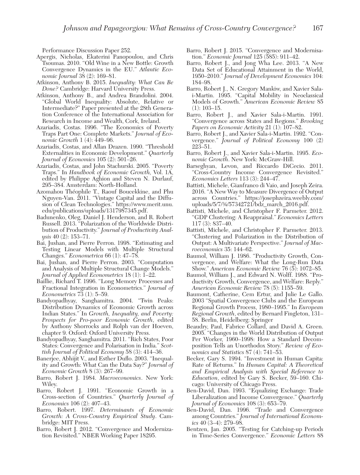Performance Discussion Paper 252.

- Apergis, Nicholas, Ekaterini Panopoulou, and Chris Tsoumas. 2010. "Old Wine in a New Bottle: Growth Convergence Dynamics in the EU." Atlantic Economic Journal 38 (2): 169–81.
- Atkinson, Anthony B. 2015. Inequality: What Can Be Done? Cambridge: Harvard University Press.
- Atkinson, Anthony B., and Andrea Brandolini. 2004. "Global World Inequality: Absolute, Relative or Intermediate?" Paper presented at the 28th Generation Conference of the International Association for Research in Income and Wealth, Cork, Ireland.
- Azariadis, Costas. 1996. "The Economics of Poverty Traps Part One: Complete Markets." Journal of Economic Growth 1 (4):  $\overline{449-96}$ .
- Azariadis, Costas, and Allan Drazen. 1990. "Threshold Externalities in Economic Development." Quarterly Journal of Economics 105 (2): 501–26.
- Azariadis, Costas, and John Stachurski. 2005. "Poverty Traps." In Handbook of Economic Growth, Vol. 1A, edited by Philippe Aghion and Steven N. Durlauf, 295–384. Amsterdam: North-Holland.
- Azomahou Théophile T., Raouf Boucekkine, and Phu Nguyen-Van. 2011. "Vintage Capital and the Diffusion of Clean Technologies." https://www.merit.unu. edu/publications/uploads/1317987345.pdf.
- Badunenko, Oleg, Daniel J. Henderson, and R. Robert Russell. 2013. "Polarization of the Worldwide Distribution of Productivity." Journal of Productivity Analysis 40 (2): 153–71.
- Bai, Jushan, and Pierre Perron. 1998. "Estimating and Testing Linear Models with Multiple Structural Changes." Econometrica 66 (1): 47–78.
- Bai, Jushan, and Pierre Perron. 2003. "Computation and Analysis of Multiple Structural Change Models." Journal of Applied Econometrics 18 (1): 1–22.
- Baillie, Richard T. 1996. "Long Memory Processes and Fractional Integration in Econometrics." Journal of Econometrics 73 (1): 5–59.
- Bandyopadhyay, Sanghamitra. 2004. "Twin Peaks: Distribution Dynamics of Economic Growth across Indian States." In Growth, Inequality, and Poverty: Prospects for Pro-poor Economic Growth, edited by Anthony Shorrocks and Rolph van der Hoeven, chapter 9. Oxford: Oxford University Press.
- Bandyopadhyay, Sanghamitra. 2011. "Rich States, Poor States: Convergence and Polarisation in India." Scottish Journal of Political Economy 58 (3): 414–36.
- Banerjee, Abhijit V., and Esther Duflo. 2003. "Inequality and Growth: What Can the Data Say?" Journal of Economic Growth 8 (3): 267–99.
- Barro, Robert J. 1984. Macroeconomics. New York: Wiley.
- Barro, Robert J. 1991. "Economic Growth in a Cross-section of Countries." Quarterly Journal of Economics 106 (2): 407–43.
- Barro, Robert. 1997. Determinants of Economic Growth: A Cross-Country Empirical Study. Cambridge: MIT Press.
- Barro, Robert J. 2012. "Convergence and Modernization Revisited." NBER Working Paper 18295.
- Barro, Robert J. 2015. "Convergence and Modernisation." Economic Journal 125 (585): 911–42.
- Barro, Robert J., and Jong Wha Lee. 2013. "A New Data Set of Educational Attainment in the World, 1950–2010." Journal of Development Economics 104: 184–98.
- Barro, Robert J., N. Gregory Mankiw, and Xavier Salai-Martin. 1995. "Capital Mobility in Neoclassical Models of Growth." American Economic Review 85  $(1): 103-15.$
- Barro, Robert J., and Xavier Sala-i-Martin. 1991. "Convergence across States and Regions." Brooking Papers on Economic Activity 21 (1): 107–82.
- Barro, Robert J., and Xavier Sala-i-Martin. 1992. "Convergence." Journal of Political Economy 100 (2) 223–51.
- Barro, Robert J., and Xavier Sala-i-Martin. 1995. Economic Growth. New York: McGraw-Hill.
- Barseghyan, Levon, and Riccardo DiCecio. 2011. "Cross-Country Income Convergence Revisited." Economics Letters 113 (3): 244–47.
- Battisti, Michele, Gianfranco di Vaio, and Joseph Zeira. 2016. "A New Way to Measure Divergence of Output across Countries." https://josephzeira.weebly.com/ uploads/5/7/3/4/57342721/bdz\_march\_2016.pdf.
- Battisti, Michele, and Christopher F. Parmeter. 2012. "GDP Clustering: A Reappraisal." Economics Letters 117 (3): 837–40.
- Battisti, Michele, and Christopher F. Parmeter. 2013. "Clustering and Polarization in the Distribution of Output: A Multivariate Perspective." Journal of Macroeconomics 35: 144–62.
- Baumol, William J. 1986. "Productivity Growth, Convergence, and Welfare: What the Long-Run Data Show." American Economic Review 76 (5): 1072–85.
- Baumol, William J., and Edward N. Wolff. 1988. "Productivity Growth, Convergence, and Welfare: Reply." American Economic Review 78 (5): 1155–59.
- Baumont, Catherine, Cem Ertur, and Julie Le Gallo. 2003 "Spatial Convergence Clubs and the European Regional Growth Process, 1980–1995." In European Regional Growth, edited by Bernard Fingleton, 131– 58. Berlin, Heidelberg: Springer
- Beaudry, Paul, Fabrice Collard, and David A. Green. 2005. "Changes in the World Distribution of Output Per Worker, 1960–1998: How a Standard Decomposition Tells an Unorthodox Story." Review of Economics and Statistics 87 (4): 741–53.
- Becker, Gary S. 1994. "Investment in Human Capita: Rate of Returns." In Human Capital: A Theoretical and Empirical Analysis with Special Reference to Education, edited by Gary S. Becker, 59–160. Chicago: University of Chicago Press.
- Ben-David, Dan. 1993. "Equalizing Exchange: Trade Liberalization and Income Convergence." Quarterly Journal of Economics 108 (3): 653–79.
- Ben-David, Dan. 1996. "Trade and Convergence among Countries." Journal of International Economics  $40(3-4)$ : 279-98.
- Bentzen, Jan. 2005. "Testing for Catching-up Periods in Time-Series Convergence." Economic Letters 88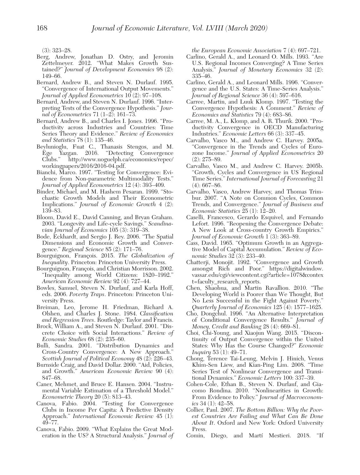(3): 323–28.

- Berg, Andrew, Jonathan D. Ostry, and Jeromin Zettelmeyer. 2012. "What Makes Growth Sustained?" Journal of Development Economics 98 (2): 149–66.
- Bernard, Andrew B., and Steven N. Durlauf. 1995. "Convergence of International Output Movements." Journal of Applied Econometrics  $10(2)$ : 97–108.
- Bernard, Andrew, and Steven N. Durlauf. 1996. "Interpreting Tests of the Convergence Hypothesis." Journal of Econometrics 71  $(1-2)$ : 161-73.
- Bernard, Andrew B., and Charles I. Jones. 1996. "Productivity across Industries and Countries: Time Series Theory and Evidence." Review of Economics and Statistics 78 (1): 135–46.
- Beylunioglu, Fuat C., Thanasis Stengos, and M. Ege Yazgan. 2016. "Detecting Convergence Clubs." http://www.uoguelph.ca/economics/repec/ workingpapers/2016/2016-04.pdf.
- Bianchi, Marco. 1997. "Testing for Convergence: Evidence from Non-parametric Multimodality Tests." Journal of Applied Econometrics 12 (4): 393–409.
- Binder, Michael, and M. Hashem Pesaran. 1999. "Stochastic Growth Models and Their Econometric Implications." Journal of Economic Growth 4 (2): 139–83.
- Bloom, David E., David Canning, and Bryan Graham. 2003. "Longevity and Life-cycle Savings." Scandinavian Journal of Economics 105 (3): 319–38.
- Bode, Eckhardt, and Sergio J. Rey. 2006. "The Spatial Dimensions and Economic Growth and Convergence." Regional Science 85 (2): 171–76.
- Bourguignon, François. 2015. The Globalization of Inequality. Princeton: Princeton University Press.
- Bourguignon, François, and Christian Morrisson. 2002. "Inequality among World Citizens: 1820–1992." American Economic Review 92 (4): 727–44.
- Bowles, Samuel, Steven N. Durlauf, and Karla Hoff, eds. 2006. Poverty Traps. Princeton: Princeton University Press.
- Breiman, Leo, Jerome H. Friedman, Richard A. Olshen, and Charles J. Stone. 1984. Classification and Regression Trees. Routledge: Taylor and Francis.
- Brock, William A., and Steven N. Durlauf. 2001. "Discrete Choice with Social Interactions." Review of Economic Studies 68 (2): 235–60.
- Bulli, Sandra. 2001. "Distribution Dynamics and Cross-Country Convergence: A New Approach." Scottish Journal of Political Economy 48 (2): 226–43.
- Burnside Craig, and David Dollar. 2000. "Aid, Policies, and Growth." American Economic Review 90 (4): 847–68.
- Caner, Mehmet, and Bruce E. Hansen. 2004. "Instrumental Variable Estimation of a Threshold Model." Econometric Theory 20 (5): 813–43.
- Canova, Fabio. 2004. "Testing for Convergence Clubs in Income Per Capita: A Predictive Density Approach." *International* Economic Review 45 (1): 49–77.
- Canova, Fabio. 2009. "What Explains the Great Moderation in the US? A Structural Analysis." Journal of

the European Economic Association 7 (4): 697–721.

- Carlino, Gerald A., and Leonard O. Mills. 1993. "Are U.S. Regional Incomes Converging? A Time Series Analysis." Journal of Monetary Economics 32 (2): 335–46.
- Carlino, Gerald A., and Leonard Mills. 1996. "Convergence and the U.S. States: A Time-Series Analysis." Journal of Regional Science 36 (4): 597–616.
- Carree, Martin, and Luuk Klomp. 1997. "Testing the Convergence Hypothesis: A Comment." Review of Economics and Statistics 79 (4): 683–86.
- Carree, M. A., L. Klomp, and A. R. Thurik. 2000. "Productivity Convergence in OECD Manufacturing Industries." Economic Letters 66 (3): 337–45.
- Carvalho, Vasco M., and Andrew C. Harvey. 2005a. "Convergence in the Trends and Cycles of Eurozone Income." Journal of Applied Econometrics 20 (2): 275–89.
- Carvalho, Vasco M., and Andrew C. Harvey. 2005b. "Growth, Cycles and Convergence in US Regional Time Series." International Journal of Forecasting 21  $(4): 667 - 86.$
- Carvalho, Vasco, Andrew Harvey, and Thomas Trimbur. 2007. "A Note on Common Cycles, Common Trends, and Convergence." Journal of Business and Economic Statistics  $\widetilde{25}$  (1): 12-20.
- Caselli, Francesco, Gerardo Esquivel, and Fernando Lefort. 1996. "Reopening the Convergence Debate: A New Look at Cross-country Growth Empirics." Journal of Economic Growth 1<sup>(3)</sup>: 363-89.
- Cass, David. 1965. "Optimum Growth in an Aggregative Model of Capital Accumulation." Review of Economic Studies 32 (3): 233–40.
- Chatterji, Monojit. 1992. "Convergence and Growth amongst Rich and Poor." https://digitalwindow. vassar.edu/cgi/viewcontent.cgi?article=1078&contex t=faculty\_research\_reports.
- Chen, Shaohua, and Martin Ravallion. 2010. "The Developing World is Poorer than We Thought, But No Less Successful in the Fight Against Poverty." Quarterly Journal of Economics 125 (4): 1577–1625.
- Cho, Dongchul. 1996. "An Alternative Interpretation of Conditional Convergence Results." Journal of Money, Credit and Banking 28 (4): 669–81.
- Choi, Chi-Young, and Xiaojun Wang. 2015. "Discontinuity of Output Convergence within the United States: Why Has the Course Changed?" Economic Inquiry 53 (1): 49–71.
- Chong, Terence Tai-Leung, Melvin J. Hinich, Venus Khim-Sen Liew, and Kian-Ping Lim. 2008. "Time Series Test of Nonlinear Convergence and Transitional Dynamics." Economic Letters 100: 337–39.
- Cohen-Cole, Ethan B., Steven N. Durlauf, and Giacomo Rondina. 2010. "Nonlinearities in Growth: From Evidence to Policy." Journal of Macroeconomics  $34$  (1):  $42-58$ .
- Collier, Paul. 2007. The Bottom Billion: Why the Poorest Countries Are Failing and What Can Be Done About It. Oxford and New York: Oxford University Press.
- Comin, Diego, and Martí Mestieri. 2018. "If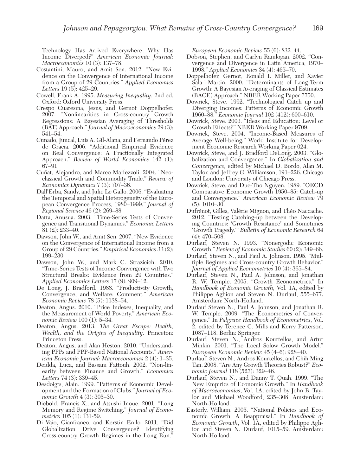Technology Has Arrived Everywhere, Why Has Income Diverged?" American Economic Journal: Macroeconomics 10 (3): 137–78.

- Costantini, Mauro, and Amit Sen. 2012. "New Evidence on the Convergence of International Income from a Group of 29 Countries." Applied Economics Letters  $19(5)$ :  $425-29$ .
- Cowell, Frank A. 1995. Measuring Inequality. 2nd ed. Oxford: Oxford University Press.
- Crespo Cuaresma, Jesus, and Gernot Doppelhofer. 2007. "Nonlinearities in Cross-country Growth Regressions: A Bayesian Averaging of Thresholds (BAT) Approach." Journal of Macroeconomics 29 (3): 541–54.
- Cunado, Juncal, Luis A. Gil-Alana, and Fernando Pérez de Gracia. 2006. "Additional Empirical Evidence on Real Convergence: A Fractionally Integrated Approach." Review of World Economics 142 (1): 67–91.
- Cuñat, Alejandro, and Marco Maffezzoli. 2004. "Neoclassical Growth and Commodity Trade." Review of Economics Dynamics 7 (3): 707–36.
- Dall'Erba, Sandy, and Julie Le Gallo. 2006. "Evaluating the Temporal and Spatial Heterogeneity of the European Convergence Process, 1980–1999." Journal of Regional Science 46 (2): 269–88.
- Datta, Anusua. 2003. "Time-Series Tests of Convergence and Transitional Dynamics." Economic Letters 81 (2): 233–40.
- Dawson, John W., and Amit Sen. 2007. "New Evidence on the Convergence of International Income from a Group of 29 Countries." Empirical Economics 33 (2): 199–230.
- Dawson, John W., and Mark C. Strazicich. 2010. "Time-Series Tests of Income Convergence with Two Structural Breaks: Evidence from 29 Countries." Applied Economics Letters 17 (9): 909–12.
- De Long, J. Bradford. 1988. "Productivity Growth, Convergence, and Welfare: Comment." American Economic Review 78 (5): 1138–54.
- Deaton, Angus. 2010. "Price Indexes, Inequality, and the Measurement of World Poverty." American Economic Review 100 (1): 5–34.
- Deaton, Angus. 2013. The Great Escape: Health, Wealth, and the Origins of Inequality. Princeton: Princeton Press.
- Deaton, Angus, and Alan Heston. 2010. "Understanding PPPs and PPP-Based National Accounts." American Economic Journal: Macroeconomics 2 (4): 1–35.
- Deidda, Luca, and Bassam Fattouh. 2002. "Non-linearity between Finance and Growth." Economics Letters 74 (3): 339–45.
- Desdoigts, Alain. 1999. "Patterns of Economic Development and the Formation of Clubs." Journal of Economic Growth 4 (3): 305–30.
- Diebold, Francis X., and Atsushi Inoue. 2001. "Long Memory and Regime Switching." Journal of Econometrics 105 (1): 131-59.
- Di Vaio, Gianfranco, and Kerstin Enflo. 2011. "Did Globalization Drive Convergence? Identifying Cross-country Growth Regimes in the Long Run."

European Economic Review 55 (6): 832–44.

- Dobson, Stephen, and Carlyn Ramlogan. 2002. "Convergence and Divergence in Latin America, 1970– 1998." Applied Economics 34 (4): 465–70.
- Doppelhofer, Gernot, Ronald I. Miller, and Xavier Sala-i-Martin. 2000. "Determinants of Long-Term Growth: A Bayesian Averaging of Classical Estimates (BACE) Approach." NBER Working Paper 7750.
- Dowrick, Steve. 1992. "Technological Catch up and Diverging Incomes: Patterns of Economic Growth 1960–88." Economic Journal 102 (412): 600–610.
- Dowrick, Steve. 2003. "Ideas and Education: Level or Growth Effects?" NBER Working Paper 9709.
- Dowrick, Steve. 2004. "Income-Based Measures of Average Well-being." World Institute for Development Economic Research Working Paper 024.
- Dowrick, Steve, and J. Bradford DeLong. 2003. "Globalization and Convergence." In Globalization and Convergence, edited by Michael D. Bordo, Alan M. Taylor, and Jeffrey G. Williamson, 191–226. Chicago and London: University of Chicago Press.
- Dowrick, Steve, and Duc-Tho Nguyen. 1989. "OECD Comparative Economic Growth 1950–85: Catch-up and Convergence." American Economic Review 79 (5): 1010–30.
- Dufrénot, Gilles, Valérie Mignon, and Théo Naccache. 2012. "Testing Catching-up between the Developing Countries: 'Growth Resistance' and Sometimes 'Growth Tragedy.'" Bulletin of Economic Research 64  $(4): 470 - 508.$
- Durlauf, Steven N. 1993. "Nonergodic Economic Growth." Review of Economic Studies 60 (2): 349–66.
- Durlauf, Steven N., and Paul A. Johnson. 1995. "Multiple Regimes and Cross-country Growth Behavior." Journal of Applied Econometrics 10 (4): 365–84.
- Durlauf, Steven N., Paul A. Johnson, and Jonathan R. W. Temple. 2005. "Growth Econometrics." In Handbook of Economic Growth, Vol. 1A, edited by Philippe Aghion and Steven N. Durlauf, 555–677. Amsterdam: North-Holland.
- Durlauf Steven N., Paul A. Johnson, and Jonathan R. W. Temple. 2009. "The Econometrics of Convergence." In Palgrave Handbook of Econometrics, Vol. 2, edited by Terence C. Mills and Kerry Patterson, 1087–118. Berlin: Springer.
- Durlauf, Steven N., Andros Kourtellos, and Artur Minkin. 2001. "The Local Solow Growth Model." European Economic Review 45 (4–6): 928–40.
- Durlauf, Steven N., Andros Kourtellos, and Chih Ming Tan. 2008. "Are Any Growth Theories Robust?" Economic Journal 118 (527): 329–46.
- Durlauf, Steven N., and Danny T. Quah. 1999. "The New Empirics of Economic Growth." In Handbook of Macroeconomics, Vol. 1A, edited by John B. Taylor and Michael Woodford, 235–308. Amsterdam: North-Holland.
- Easterly, William. 2005. "National Policies and Economic Growth: A Reappraisal." In Handbook of Economic Growth, Vol. 1A, edited by Philippe Aghion and Steven N. Durlauf, 1015–59. Amsterdam: North-Holland.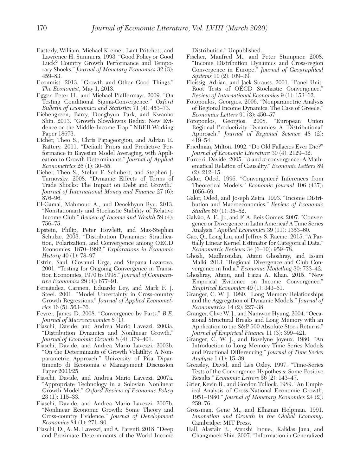- Easterly, William, Michael Kremer, Lant Pritchett, and Lawrence H. Summers. 1993. "Good Policy or Good Luck? Country Growth Performance and Temporary Shocks." Journal of Monetary Economics 32 (3): 459–83.
- Econmist. 2013. "Growth and Other Good Things." The Economist, May 1, 2013.
- Egger, Peter H., and Michael Pfaffermayr. 2009. "On Testing Conditional Sigma-Convergence." Oxford Bulletin of Economics and Statistics 71 (4): 453–73.
- Eichengreen, Barry, Donghyun Park, and Kwanho Shin. 2013. "Growth Slowdowns Redux: New Evidence on the Middle-Income Trap." NBER Working Paper 18673.
- Eicher, Theo S., Chris Papageorgiou, and Adrian E. Raftery. 2011. "Default Priors and Predictive Performance in Bayesian Model Averaging, with Application to Growth Determinants." Journal of Applied Econometrics 26 (1): 30–55.
- Eicher, Theo S., Stefan F. Schubert, and Stephen J. Turnovsky. 2008. "Dynamic Effects of Terms of Trade Shocks: The Impact on Debt and Growth." Journal of International Money and Finance 27 (6): 876–96.
- El-Gamal, Mahmoud A., and Deockhyun Ryu. 2013. "Nonstationarity and Stochastic Stability of Relative Income Club." Review of Income and Wealth 59 (4): 756–75.
- Epstein, Philip, Peter Howlett, and Max-Stephan Schulze. 2003. "Distribution Dynamics: Stratification, Polarization, and Convergence among OECD Economies, 1870–1992." Explorations in Economic History 40 (1): 78–97.
- Estrin, Saul, Giovanni Urga, and Stepana Lazarova. 2001. "Testing for Ongoing Convergence in Transition Economies, 1970 to 1998." Journal of Comparative Economics 29 (4): 677–91.
- Fernández, Carmen, Eduardo Ley, and Mark F. J. Steel. 2001. "Model Uncertainty in Cross-country Growth Regressions." Journal of Applied Econometrics 16 (5): 563–76.
- Feyrer, James D. 2008. "Convergence by Parts." B.E. Journal of Macroeconomics  $8(\tilde{1})$ .
- Fiaschi, Davide, and Andrea Mario Lavezzi. 2003a. "Distribution Dynamics and Nonlinear Growth." Journal of Economic Growth 8 (4): 379–401.
- Fiaschi, Davide, and Andrea Mario Lavezzi. 2003b. "On the Determinants of Growth Volatility: A Nonparametric Approach." University of Pisa Dipartimento di Economia e Management Discussion Paper 2003/25.
- Fiaschi, Davide, and Andrea Mario Lavezzi. 2007a. "Appropriate Technology in a Solovian Nonlinear Growth Model." Oxford Review of Economic Policy 23 (1): 115–33.
- Fiaschi, Davide, and Andrea Mario Lavezzi. 2007b. "Nonlinear Economic Growth: Some Theory and Cross-country Evidence." Journal of Development Economics 84 (1): 271–90.
- Fiaschi, D., A. M. Lavezzi, and A. Parenti. 2018. "Deep and Proximate Determinants of the World Income

Distribution." Unpublished.

- Fischer, Manfred M., and Peter Stumpner. 2008. "Income Distribution Dynamics and Cross-region Convergence in Europe." Journal of Geographical Systems 10 (2): 109–39.
- Fleissig, Adrian, and Jack Strauss. 2001. "Panel Unit-Root Tests of OECD Stochastic Convergence." Review of International Economics 9 (1): 153–62.
- Fotopoulos, Georgios. 2006. "Nonparametric Analysis of Regional Income Dynamics: The Case of Greece." Economics Letters 91 (3): 450–57.
- Fotopoulos, Georgios. 2008. "European Union Regional Productivity Dynamics: A 'Distributional' Approach." Journal of Regional Science 48 (2): 419–54.
- Friedman, Milton. 1992. "Do Old Fallacies Ever Die?" Journal of Economic Literature 30 (4): 2129–32.
- Furceri, Davide. 2005. " $\beta$  and  $\sigma$ -convergence: A Mathematical Relation of Causality." Economic Letters 89 (2): 212–15.
- Galor, Oded. 1996. "Convergence? Inferences from Theoretical Models." Economic Journal 106 (437): 1056–69.
- Galor, Oded, and Joseph Zeira. 1993. "Income Distribution and Macroeconomics." Review of Economic Studies 60 (1): 35–52.
- Galvão, A. F., Jr., and F. A. Reis Gomes. 2007. "Convergence or Divergence in Latin America? A Time Series Analysis." Applied Economics 39 (11): 1353–60.
- Gao, Qi, Long Liu, and Jeffrey S. Racine. 2015. "A Partially Linear Kernel Estimator for Categorical Data." Econometric Reviews 34 (6–10): 959–78.
- Ghosh, Madhusudan, Atanu Ghoshray, and Issam Malki. 2013. "Regional Divergence and Club Convergence in India." Economic Modelling 30: 733–42.
- Ghoshray, Atanu, and Faiza A. Khan. 2015. "New Empirical Evidence on Income Convergence." Empirical Economics 49 (1): 343–61.
- Granger, C. W. J. 1980. "Long Memory Relationships and the Aggregation of Dynamic Models." Journal of Econometrics 14 (2): 227–38.
- Granger, Clive W. J., and Namwon Hyung. 2004. "Occasional Structural Breaks and Long Memory with an Application to the S&P 500 Absolute Stock Returns." Journal of Empirical Finance 11 (3): 399–421.
- Granger, C. W. J., and Roselyne Joyeux. 1980. "An Introduction to Long Memory Time Series Models and Fractional Differencing." Journal of Time Series Analysis 1 (1): 15–39.
- Greasley, David, and Les Oxley. 1997. "Time-Series Tests of the Convergence Hypothesis: Some Positive Results." Economic Letters 56 (2): 143–47.
- Grier, Kevin B., and Gordon Tullock. 1989. "An Empirical Analysis of Cross-National Economic Growth, 1951–1980." Journal of Monetary Economics 24 (2): 259–76.
- Grossman, Gene M., and Elhanan Helpman. 1991. Innovation and Growth in the Global Economy. Cambridge: MIT Press.
- Hall, Alastair R., Atsushi Inoue., Kalidas Jana, and Changmock Shin. 2007. "Information in Generalized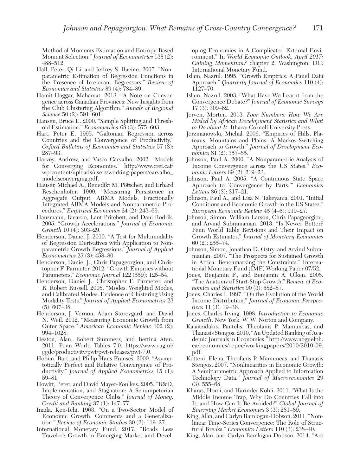Method of Moments Estimation and Entropy-Based Moment Selection." Journal of Econometrics 138 (2): 488–512.

- Hall, Peter, Qi Li, and Jeffrey S. Racine. 2007. "Nonparametric Estimation of Regression Functions in the Presence of Irrelevant Regressors." Review of Economics and Statistics 89 (4): 784–89.
- Hamit-Haggar, Mahamat. 2013. "A Note on Convergence across Canadian Provinces: New Insights from the Club Clustering Algorithm." Annals of Regional Science 50 (2): 591–601.
- Hansen, Bruce E. 2000. "Sample Splitting and Threshold Estimation." Econometrica 68 (3): 575–603.
- Hart, Peter E. 1995. "Galtonian Regression across Countries and the Convergence of Productivity." Oxford Bulletins of Economics and Statistics 57 (3): 287–93.
- Harvey, Andrew, and Vasco Carvalho. 2002. "Models for Converging Economies." http://www.crei.cat/ wp-content/uploads/users/working-papers/carvalho\_ modelsconverging.pdf.
- Hauser, Michael A., Benedikt M. Pötscher, and Erhard Reschenhofer. 1999. "Measuring Persistence in Aggregate Output: ARMA Models, Fractionally Integrated ARMA Models and Nonparametric Procedures." Empirical Economics 24 (2): 243–69.
- Hausmann, Ricardo, Lant Pritchett, and Dani Rodrik. 2005. "Growth Accelerations." Journal of Economic Growth 10 (4): 303–29.
- Henderson, Daniel J. 2010. "A Test for Multimodality of Regression Derivatives with Application to Nonparametric Growth Regressions." Journal of Applied Econometrics 25 (3): 458–80.
- Henderson, Daniel J., Chris Papageorgiou, and Christopher F. Parmeter. 2012. "Growth Empirics without Parameters." Economic Journal 122 (559): 125–54.
- Henderson, Daniel J., Christopher F. Parmeter, and R. Robert Russell. 2008. "Modes, Weighted Modes, and Calibrated Modes: Evidence of Clustering Using Modality Tests." Journal of Applied Econometrics 23  $(5): 607 - 38.$
- Henderson, J. Vernon, Adam Storeygard, and David N. Weil. 2012. "Measuring Economic Growth from Outer Space." American Economic Review 102 (2): 994–1028.
- Heston, Alan, Robert Summers, and Bettina Aten. 2011. Penn World Tables 7.0. https://www.rug.nl/ ggdc/productivity/pwt/pwt-releases/pwt-7.0.
- Hobijn, Bart, and Philip Hans Franses. 2000. "Asymptotically Perfect and Relative Convergence of Productivity." Journal of Applied Econometrics 15 (1): 59–81.
- Howitt, Peter, and David Mayer-Foulkes. 2005. "R&D, Implementation, and Stagnation: A Schumpeterian Theory of Convergence Clubs." Journal of Money, Credit and Banking 37 (1): 147–77.
- Inada, Ken-Ichi. 1963. "On a Two-Sector Model of Economic Growth: Comments and a Generalization." Review of Economic Studies 30 (2): 119–27.
- International Monetary Fund. 2017. "Roads Less Traveled: Growth in Emerging Market and Devel-

oping Economies in A Complicated External Environment." In World Economic Outlook, April 2017: Gaining Momentum? chapter 2. Washington, DC: International Monetary Fund.

- Islam, Nazrul. 1995. "Growth Empirics: A Panel Data Approach." *Quarterly Journal of Economics* 110 (4): 1127–70.
- Islam, Nazrul. 2003. "What Have We Learnt from the Convergence Debate?" Journal of Economic Surveys 17 (3): 309–62.
- Jerven, Morten. 2013. Poor Numbers: How We Are Misled by African Development Statistics and What to Do about It. Ithaca: Cornell University Press.
- Jerzmanowski, Michal. 2006. "Empirics of Hills, Plateaus, Mountains and Plains: A Markov-Switching Approach to Growth." Journal of Development Economics 81 (2): 357–85.
- Johnson, Paul A. 2000. "A Nonparametric Analysis of Income Convergence across the US States." Economic Letters 69 (2): 219–23.
- Johnson, Paul A. 2005. "A Continuous State Space Approach to 'Convergence by Parts.'" Economics Letters 86 (3): 317–21.
- Johnson, Paul A., and Lisa N. Takeyama. 2001. "Initial Conditions and Economic Growth in the US States." European Economic Review 45 (4–6): 919–27.
- Johnson, Simon, William Larson, Chris Papageorgiou, and Arvind Subramanian. 2013. "Is Newer Better? Penn World Table Revisions and Their Impact on Growth Estimates." Journal of Monetary Economics 60 (2): 255–74.
- Johnson, Simon, Jonathan D. Ostry, and Arvind Subramanian. 2007. "The Prospects for Sustained Growth in Africa: Benchmarking the Constraints." International Monetary Fund (IMF) Working Paper 07/52.
- Jones, Benjamin F., and Benjamin A. Olken. 2008. "The Anatomy of Start-Stop Growth." Review of Economics and Statistics 90 (3): 582–87.
- Jones, Charles I. 1997. "On the Evolution of the World Income Distribution." Journal of Economic Perspectives 11 (3): 19–36.
- Jones, Charles Irving. 1998. Introduction to Economic Growth. New York: W. W. Norton and Company.
- Kalaitzidakis, Pantelis, Theofanis P. Mamuneas, and Thanasis Stengos. 2010. "An Updated Ranking of Academic Journals in Economics." http://www.uoguelph. ca/economics/repec/workingpapers/2010/2010-09. pdf.
- Ketteni, Elena, Theofanis P. Mamuneas, and Thanasis Stengos. 2007. "Nonlinearities in Economic Growth: A Semiparametric Approach Applied to Information Technology Data." Journal of Macroeconomics 29  $(3): 555 - 68.$
- Kharas, Homi, and Harinder Kohli. 2011. "What Is the Middle Income Trap, Why Do Countries Fall into It, and How Can It Be Avoided?" Global Journal of Emerging Market Economies 3 (3): 281–89.
- King, Alan, and Carlyn Ramlogan-Dobson. 2011. "Nonlinear Time-Series Convergence: The Role of Structural Breaks." Economics Letters 110 (3): 238–40.
- King, Alan, and Carlyn Ramlogan-Dobson. 2014. "Are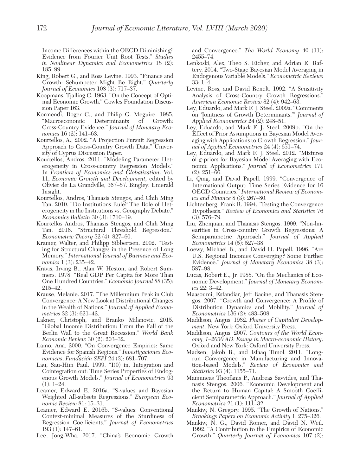Income Differences within the OECD Diminishing? Evidence from Fourier Unit Root Tests." Studies in Nonlinear Dynamics and Econometrics 18 (2): 185–99.

- King, Robert G., and Ross Levine. 1993. "Finance and Growth: Schumpeter Might Be Right." Quarterly Journal of Economics 108 (3): 717–37.
- Koopmans, Tjalling C. 1963. "On the Concept of Optimal Economic Growth." Cowles Foundation Discussion Paper 163.
- Kormendi, Roger C., and Philip G. Meguire. 1985. "Macroeconomic Determinants of Growth: Cross-Country Evidence." Journal of Monetary Economics 16 (2): 141–63.
- Kourtellos, A., 2002. "A Projection Pursuit Regression Approach to Cross-Country Growth Data." University of Cyprus Discussion Paper.
- Kourtellos, Andros. 2011. "Modeling Parameter Heterogeneity in Cross-country Regression Models." In Frontiers of Economics and Globalization. Vol. 11, Economic Growth and Development, edited by Olivier de La Grandville, 367–87. Bingley: Emerald Insight.
- Kourtellos, Andros, Thanasis Stengos, and Chih Ming Tan. 2010. "Do Institutions Rule? The Role of Heterogeneity in the Institutions vs. Geography Debate." Economics Bulletin 30 (3): 1710–19.
- Kourtellos Andros, Thanasis Stengos, and Chih Ming Tan. 2016. "Structural Threshold Regression." Econometric Theory 32 (4): 827–60.
- Kramer, Walter, and Philipp Sibbertsen. 2002. "Testing for Structural Changes in the Presence of Long Memory." International Journal of Business and Economics 1 (3): 235–42.
- Kravis, Irving B., Alan W. Heston, and Robert Summers. 1978. "Real GDP Per Capita for More Than One Hundred Countries." Economic Journal 88 (35): 215–42.
- Krause, Melanie. 2017. "The Millennium Peak in Club Convergence: A New Look at Distributional Changes in the Wealth of Nations." Journal of Applied Econometrics 32 (3): 621–42.
- Lakner, Christoph, and Branko Milanovic. 2015. "Global Income Distribution: From the Fall of the Berlin Wall to the Great Recession." World Bank Economic Review 30 (2): 203–32.
- Lamo, Ana. 2000. "On Convergence Empirics: Same Evidence for Spanish Regions." Investigaciones Economicas, Fundación SEPI 24 (3): 681–707.
- Lau, Sau-Him Paul. 1999. "I(0) in, Integration and Cointegration out: Time Series Properties of Endogenous Growth Models." Journal of Econometrics 93  $(1): 1-24.$
- Leamer, Edward E. 2016a. "S-values and Bayesian Weighted All-subsets Regressions." European Economic Review 81: 15–31.
- Leamer, Edward E. 2016b. "S-values: Conventional Context-minimal Measures of the Sturdiness of Regression Coefficients." Journal of Econometrics 193 (1): 147–61.
- Lee, Jong-Wha. 2017. "China's Economic Growth

and Convergence." The World Economy 40 (11): 2455–74.

- Lenkoski, Alex, Theo S. Eicher, and Adrian E. Raftery. 2014. "Two-Stage Bayesian Model Averaging in Endogenous Variable Models." Econometric Reviews 33: 1–4.
- Levine, Ross, and David Renelt. 1992. "A Sensitivity Analysis of Cross-Country Growth Regressions." American Economic Review 82 (4): 942–63.
- Ley, Eduardo, and Mark F. J. Steel. 2009a. "Comments on 'Jointness of Growth Determinants.'" Journal of Applied Econometrics 24 (2): 248–51.
- Ley, Eduardo, and Mark F. J. Steel. 2009b. "On the Effect of Prior Assumptions in Bayesian Model Averaging with Applications to Growth Regression." Journal of Applied Econometrics 24 (4): 651–74.
- Ley, Eduardo, and Mark F. J. Steel. 2012. "Mixtures of g-priors for Bayesian Model Averaging with Economic Applications." Journal of Econometrics 171  $(2): 251-\overline{66}$ .
- Li, Qing, and David Papell. 1999. "Convergence of International Output: Time Series Evidence for 16 OECD Countries." International Review of Economics and Finance 8 (3): 267–80.
- Lichtenberg, Frank R. 1994. "Testing the Convergence Hypothesis." Review of Economics and Statistics 76  $(3): 576 - 79.$
- Liu, Zhenjuan, and Thanasis Stengos. 1999. "Non-linearities in Cross-country Growth Regressions: A Semiparametric Approach." Journal of Applied Econometrics 14 (5): 527–38.
- Loewy, Michael B., and David H. Papell. 1996. "Are U.S. Regional Incomes Converging? Some Further Evidence." Journal of Monetary Economics 38 (3): 587–98.
- Lucas, Robert E., Jr. 1988. "On the Mechanics of Economic Development." Journal of Monetary Economics 22: 3–42.
- Maasoumi, Esfandiar, Jeff Racine, and Thanasis Stengos. 2007. "Growth and Convergence: A Profile of Distribution Dynamics and Mobility." Journal of Econometrics 136 (2): 483–508.
- Maddison, Angus. 1982. Phases of Capitalist Development. New York: Oxford University Press.
- Maddison, Angus. 2007. Contours of the World Economy, 1–2030 AD: Essays in Macro-economic History. Oxford and New York: Oxford University Press.
- Madsen, Jakob B., and Isfaaq Timol. 2011. "Longrun Convergence in Manufacturing and Innovation-based Models." Review of Economics and Statistics 93 (4): 1155–71.
- Mamuneas Theofanis P., Andreas Savvides, and Thanasis Stengos. 2006. "Economic Development and the Return to Human Capital: A Smooth Coefficient Semiparametric Approach." Journal of Applied Econometrics 21 (1): 111–32.
- Mankiw, N. Gregory. 1995. "The Growth of Nations." Brookings Papers on Economic Activity 1: 275–326.
- Mankiw, N. G., David Romer, and David N. Weil. 1992. "A Contribution to the Empirics of Economic Growth." Quarterly Journal of Economics 107 (2):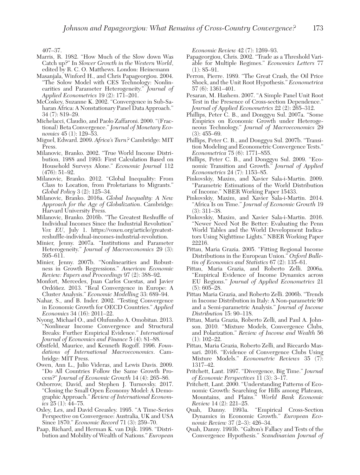407–37.

- Marris, R. 1982. "How Much of the Slow down Was Catch up?" In Slower Growth in the Western World, edited by R. C. O. Matthews. London: Heinemann
- Masanjala, Winford H., and Chris Papageorgiou. 2004. "The Solow Model with CES Technology: Nonlinearities and Parameter Heterogeneity." Journal of Applied Econometrics 19 (2): 171–201.
- McCoskey, Suzanne K. 2002. "Convergence in Sub-Saharan Africa: A Nonstationary Panel Data Approach." 34 (7): 819–29.
- Michelacci, Claudio, and Paolo Zaffaroni. 2000. "(Fractional) Beta Convergence." Journal of Monetary Economics 45 (1): 129–53.
- Miguel, Edward. 2009. Africa's Turn? Cambridge: MIT Press.
- Milanovic, Branko. 2002. "True World Income Distribution, 1988 and 1993: First Calculation Based on Household Surveys Alone." Economic Journal 112 (476): 51–92.
- Milanovic, Branko. 2012. "Global Inequality: From Class to Location, from Proletarians to Migrants." Global Policy 3 (2): 125–34.
- Milanovic, Branko. 2016a. Global Inequality: A New Approach for the Age of Globalization. Cambridge: Harvard University Press.
- Milanovic, Branko. 2016b. "The Greatest Reshuffle of Individual Incomes Since the Industrial Revolution" Vox EU, July 1. https://voxeu.org/article/greatestreshuffle-individual-incomes-industrial-revolution.
- Minier, Jenny. 2007a. "Institutions and Parameter Heterogeneity." Journal of Macroeconomics 29 (3): 595–611.
- Minier, Jenny. 2007b. "Nonlinearities and Robustness in Growth Regressions." American Economic Review: Papers and Proceedings 97 (2): 388–92.
- Monfort, Mercedes, Juan Carlos Cuestas, and Javier Ordóñez. 2013. "Real Convergence in Europe: A Cluster Analysis." Economic Modelling 33: 689–94.
- Nahar, S., and B. Inder. 2002. "Testing Convergence in Economic Growth for OECD Countries." Applied Economics 34 (16): 2011–22.
- Nyong, Michael O., and Olufunsho A. Omobitan. 2013. "Nonlinear Income Convergence and Structural Breaks: Further Empirical Evidence." International Journal of Economics and Finance 5 (4): 81–88.
- Obstfeld, Maurice, and Kenneth Rogoff. 1996. Foundations of International Macroeconomics. Cambridge: MIT Press.
- Owen, Ann L., Julio Videras, and Lewis Davis. 2009. "Do All Countries Follow the Same Growth Process?" Journal of Economic Growth 14 (4): 265–86.
- Oxborrow, David, and Stephen J. Turnovsky. 2017. "Closing the Small Open Economy Model: A Demographic Approach." Review of International Economics  $25(1)$ :  $44-75$ .
- Oxley, Les, and David Greasley. 1995. "A Time-Series Perspective on Convergence: Australia, UK and USA Since 1870." Economic Record 71 (3): 259–70.
- Paap, Richard, and Herman K. van Dijk. 1998. "Distribution and Mobility of Wealth of Nations." European

Economic Review 42 (7): 1269–93.

- Papageorgiou, Chris. 2002. "Trade as a Threshold Variable for Multiple Regimes." Economics Letters 77  $(1): 85 - 91.$
- Perron, Pierre. 1989. "The Great Crash, the Oil Price Shock, and the Unit Root Hypothesis." Econometrica 57 (6): 1361–401.
- Pesaran, M. Hashem. 2007. "A Simple Panel Unit Root Test in the Presence of Cross-section Dependence." Journal of Applied Econometrics 22 (2): 265–312.
- Phillips, Peter C. B., and Donggyu Sul. 2007a. "Some Empirics on Economic Growth under Heterogeneous Technology." Journal of Macroeconomics 29  $(3): 455 - 69.$
- Phillips, Peter C. B., and Donggyu Sul. 2007b. "Transition Modeling and Econometric Convergence Tests." Econometrica 75 (6): 1771–855.
- Phillips, Peter C. B., and Donggyu Sul. 2009. "Economic Transition and Growth." Journal of Applied Econometrics 24 (7): 1153–85.
- Pinkovskiy, Maxim, and Xavier Sala-i-Martin. 2009. "Parametric Estimations of the World Distribution of Income." NBER Working Paper 15433.
- Pinkovskiy, Maxim, and Xavier Sala-i-Martin. 2014. "Africa Is on Time." Journal of Economic Growth 19 (3): 311–38.
- Pinkovskiy, Maxim, and Xavier Sala-i-Martin. 2016. "Newer Need Not Be Better: Evaluating the Penn World Tables and the World Development Indicators Using Nighttime Lights." NBER Working Paper 22216.
- Pittau, Maria Grazia. 2005. "Fitting Regional Income Distributions in the European Union." Oxford Bulletin of Economics and Statistics 67 (2): 135–61.
- Pittau, Maria Grazia, and Roberto Zelli. 2006a. "Empirical Evidence of Income Dynamics across EU Regions." Journal of Applied Econometrics 21 (5): 605–28.
- Pittau Maria Grazia, and Roberto Zelli. 2006b. "Trends in Income Distribution in Italy: A Non-parametric 90 and a Semi-parametric Analysis." Journal of Income Distribution 15: 90–118.
- Pittau, Maria Grazia, Roberto Zelli, and Paul A. Johnson. 2010. "Mixture Models, Convergence Clubs, and Polarization." Review of Income and Wealth 56  $(1): 102 - 22.$
- Pittau, Maria Grazia, Roberto Zelli, and Riccardo Massari. 2016. "Evidence of Convergence Clubs Using Mixture Models." Econometric Reviews 35 (7): 1317–42.
- Pritchett, Lant. 1997. "Divergence, Big Time." Journal of Economic Perspectives 11 (3): 3–17.
- Pritchett, Lant. 2000. "Understanding Patterns of Economic Growth: Searching for Hills among Plateaus, Mountains, and Plains." World Bank Economic Review 14 (2): 221–25.<br>Quah, Danny. 1993a.
- "Empirical Cross-Section Dynamics in Economic Growth." European Economic Review 37 (2–3): 426–34.
- Quah, Danny. 1993b. "Galton's Fallacy and Tests of the Convergence Hypothesis." Scandinavian Journal of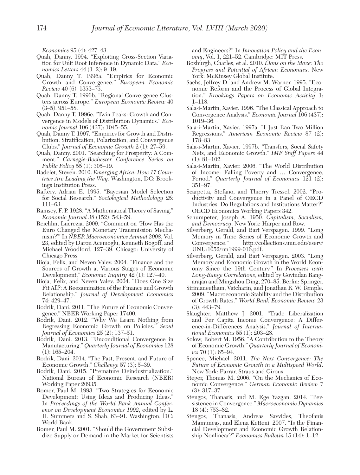Economics 95 (4): 427–43.

- Quah, Danny. 1994. "Exploiting Cross-Section Variation for Unit Root Inference in Dynamic Data." Economics Letters 44 (1–2): 9–19.
- Quah, Danny T. 1996a. "Empirics for Economic Growth and Convergence." European Economic Review 40 (6): 1353–75.
- Quah, Danny T. 1996b. "Regional Convergence Clusters across Europe." European Economic Review 40  $(3-5): 951-58.$
- Quah, Danny T. 1996c. "Twin Peaks: Growth and Convergence in Models of Distribution Dynamics." Economic Journal 106 (437): 1045–55.
- Quah, Danny T. 1997. "Empirics for Growth and Distribution: Stratification, Polarization, and Convergence Clubs." Journal of Economic Growth 2 (1): 27–59.
- Quah, Danny. 2001. "Searching for Prosperity: A Comment." Carnegie-Rochester Conference Series on Public Policy 55 (1): 305–19.
- Radelet, Steven. 2010. Emerging Africa: How 17 Countries Are Leading the Way. Washington, DC: Brookings Institution Press.
- Raftery, Adrian E. 1995. "Bayesian Model Selection for Social Research." Sociological Methodology 25: 111–63.
- Ramsey, F. P. 1928. "A Mathematical Theory of Saving." Economic Journal 38 (152): 543–59.
- Reichlin, Lucrezia. 2009. "Comment on 'How Has the Euro Changed the Monetary Transmission Mechanism?'" In NBER Macroeconomics Annual 2008, Vol. 23, edited by Daron Acemoglu, Kenneth Rogoff, and Michael Woodford, 127–39. Chicago: University of Chicago Press.
- Rioja, Felix, and Neven Valev. 2004. "Finance and the Sources of Growth at Various Stages of Economic Development." Economic Inquiry 42 (1): 127–40.
- Rioja, Felix, and Neven Valev. 2004. "Does One Size Fit All?: A Reexamination of the Finance and Growth Relationship." Journal of Development Economics 74: 429–47.
- Rodrik, Dani. 2011. "The Future of Economic Convergence." NBER Working Paper 17400.
- Rodrik, Dani. 2012. "Why We Learn Nothing from Regressing Economic Growth on Policies." Seoul Journal of Economics  $25(2)$ : 137-51.
- Rodrik, Dani. 2013. "Unconditional Convergence in Manufacturing." Quarterly Journal of Economics 128 (1): 165–204.
- Rodrik, Dani. 2014. "The Past, Present, and Future of Economic Growth." Challenge 57 (3): 5–39.
- Rodrik, Dani. 2015. "Premature Deindustrialization." National Bureau of Economic Research (NBER) Working Paper 20935.
- Romer, Paul M. 1993. "Two Strategies for Economic Development: Using Ideas and Producing Ideas." In Proceedings of the World Bank Annual Conference on Development Economics 1992, edited by L. H. Summers and S. Shah, 63–91. Washington, DC: World Bank.
- Romer, Paul M. 2001. "Should the Government Subsidize Supply or Demand in the Market for Scientists

and Engineers?" In Innovation Policy and the Economy, Vol. 1, 221–52. Cambridge: MIT Press.

- Roxburgh, Charles, et al. 2010. Lions on the Move: The Progress and Potential of African Economies. New York: McKinsey Global Institute.
- Sachs, Jeffrey D. and Andrew M. Warner. 1995. "Economic Reform and the Process of Global Integration." Brookings Papers on Economic Activity 1: 1–118.
- Sala-i-Martin, Xavier. 1996. "The Classical Approach to Convergence Analysis." Economic Journal 106 (437): 1019–36.
- Sala-i-Martin, Xavier. 1997a. "I Just Ran Two Million Regressions." American Economic Review 87 (2): 178–83
- Sala-i-Martin, Xavier. 1997b. "Transfers, Social Safety Nets, and Economic Growth." IMF Staff Papers 44 (1): 81–102.
- Sala-i-Martin, Xavier. 2006. "The World Distribution of Income: Falling Poverty and … Convergence, Period." Quarterly Journal of Economics 121 (2): 351–97.
- Scarpetta, Stefano, and Thierry Tressel. 2002. "Productivity and Convergence in a Panel of OECD Industries: Do Regulations and Institutions Matter?" OECD Economics Working Papers 342.
- Schumpeter, Joseph A. 1950. Capitalism, Socialism, and Democracy. New York: Harper and Row.
- Silverberg, Gerald, and Bart Verspagen. 1999. "Long Memory in Time Series of Economic Growth and<br>Convergence." http://collections.unu.edu/eserv/ http://collections.unu.edu/eserv/ UNU:1052/rm1999-016.pdf.
- Silverberg, Gerald, and Bart Verspagen. 2003. "Long Memory and Economic Growth in the World Economy Since the 19th Century." In Processes with Long-Range Correlations, edited by Govindan Rangarajan and Mingzhou Ding, 270–85. Berlin: Springer.
- Sirimaneetham, Vatcharin, and Jonathan R. W. Temple. 2009. "Macroeconomic Stability and the Distribution of Growth Rates." World Bank Economic Review 23 (3): 443–79.
- Slaughter, Matthew J. 2001. "Trade Liberalization and Per Capita Income Convergence: A Difference-in-Differences Analysis." Journal of International Economics 55 (1): 203–28.
- Solow, Robert M. 1956. "A Contribution to the Theory of Economic Growth." Quarterly Journal of Economics  $70$  (1): 65–94.
- Spence, Michael. 2011. The Next Convergence: The Future of Economic Growth in a Multispeed World. New York: Farrar, Straus and Giroux.
- Steger, Thomas M. 2006. "On the Mechanics of Economic Convergence." German Economic Review 7 (3): 317–37.
- Stengos, Thanasis, and M. Ege Yazgan. 2014. "Persistence in Convergence." Macroeconomic Dynamics 18 (4): 753–82.
- Stengos, Thanasis, Andreas Savvides, Theofanis Mamuneas, and Elena Ketteni. 2007. "Is the Financial Development and Economic Growth Relationship Nonlinear?" Economics Bulletin 15 (14): 1–12.